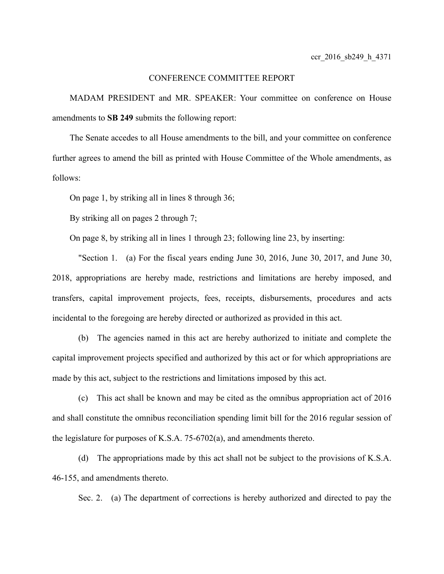# CONFERENCE COMMITTEE REPORT

MADAM PRESIDENT and MR. SPEAKER: Your committee on conference on House amendments to **SB 249** submits the following report:

The Senate accedes to all House amendments to the bill, and your committee on conference further agrees to amend the bill as printed with House Committee of the Whole amendments, as follows:

On page 1, by striking all in lines 8 through 36;

By striking all on pages 2 through 7;

On page 8, by striking all in lines 1 through 23; following line 23, by inserting:

"Section 1. (a) For the fiscal years ending June 30, 2016, June 30, 2017, and June 30, 2018, appropriations are hereby made, restrictions and limitations are hereby imposed, and transfers, capital improvement projects, fees, receipts, disbursements, procedures and acts incidental to the foregoing are hereby directed or authorized as provided in this act.

(b) The agencies named in this act are hereby authorized to initiate and complete the capital improvement projects specified and authorized by this act or for which appropriations are made by this act, subject to the restrictions and limitations imposed by this act.

(c) This act shall be known and may be cited as the omnibus appropriation act of 2016 and shall constitute the omnibus reconciliation spending limit bill for the 2016 regular session of the legislature for purposes of K.S.A. 75-6702(a), and amendments thereto.

(d) The appropriations made by this act shall not be subject to the provisions of K.S.A. 46-155, and amendments thereto.

Sec. 2. (a) The department of corrections is hereby authorized and directed to pay the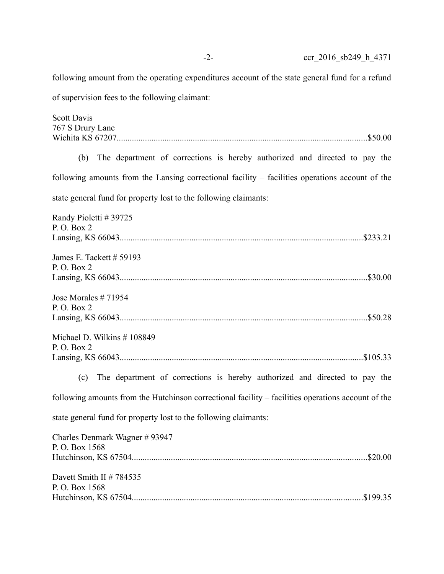following amount from the operating expenditures account of the state general fund for a refund

of supervision fees to the following claimant:

Scott Davis 767 S Drury Lane Wichita KS 67207...................................................................................................................\$50.00

(b) The department of corrections is hereby authorized and directed to pay the following amounts from the Lansing correctional facility – facilities operations account of the state general fund for property lost to the following claimants:

| Randy Pioletti # 39725<br>P. O. Box 2                                                              |
|----------------------------------------------------------------------------------------------------|
|                                                                                                    |
| James E. Tackett $# 59193$                                                                         |
| P. O. Box 2                                                                                        |
|                                                                                                    |
| Jose Morales $#71954$                                                                              |
| P. O. Box 2                                                                                        |
|                                                                                                    |
| Michael D. Wilkins $# 108849$                                                                      |
| P. O. Box 2                                                                                        |
|                                                                                                    |
| (c) The department of corrections is hereby authorized and directed to pay the                     |
| following amounts from the Hutchinson correctional facility – facilities operations account of the |
| state general fund for property lost to the following claimants:                                   |
| Charles Denmark Wagner #93947                                                                      |
| P.O. Box 1568                                                                                      |
|                                                                                                    |
| Davett Smith II # 784535                                                                           |
| P.O. Box 1568                                                                                      |
|                                                                                                    |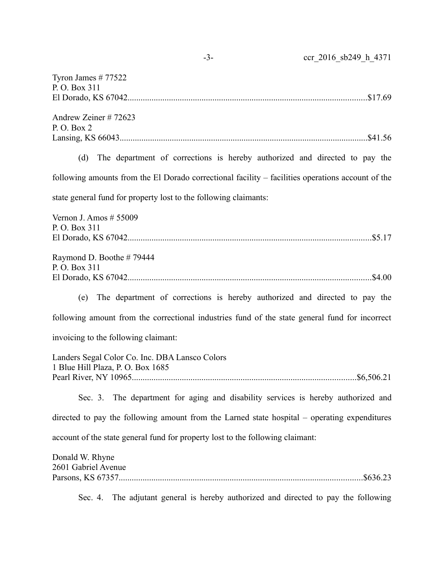| Tyron James $# 77522$<br>P. O. Box 311                                                            |
|---------------------------------------------------------------------------------------------------|
|                                                                                                   |
| Andrew Zeiner #72623                                                                              |
| P.O. Box 2                                                                                        |
|                                                                                                   |
| (d) The department of corrections is hereby authorized and directed to pay the                    |
| following amounts from the El Dorado correctional facility – facilities operations account of the |
| state general fund for property lost to the following claimants:                                  |
| Vernon J. Amos $# 55009$                                                                          |
| P.O. Box 311                                                                                      |
|                                                                                                   |
| Raymond D. Boothe #79444<br>P. O. Box 311                                                         |
|                                                                                                   |
| (e) The department of corrections is hereby authorized and directed to pay the                    |
| following amount from the correctional industries fund of the state general fund for incorrect    |
| invoicing to the following claimant:                                                              |
| Landers Segal Color Co. Inc. DBA Lansco Colors                                                    |
| 1 Blue Hill Plaza, P. O. Box 1685                                                                 |
|                                                                                                   |
| Sec. 3. The department for aging and disability services is hereby authorized and                 |
| directed to pay the following amount from the Larned state hospital – operating expenditures      |
| account of the state general fund for property lost to the following claimant:                    |
| Donald W. Rhyne                                                                                   |
| 2601 Gabriel Avenue                                                                               |
|                                                                                                   |
| The adjutant general is hereby authorized and directed to pay the following<br>Sec. 4.            |

-3- ccr\_2016\_sb249\_h\_4371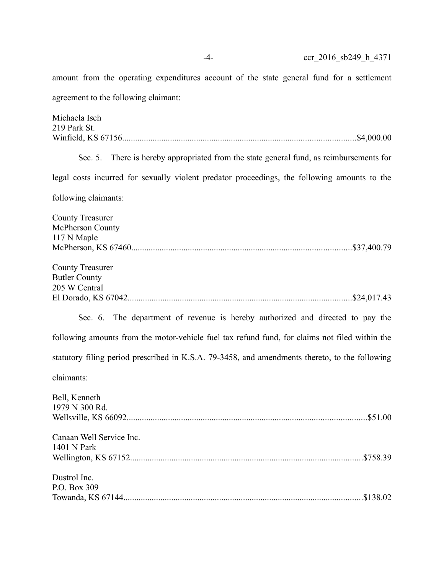agreement to the following claimant:

amount from the operating expenditures account of the state general fund for a settlement

Michaela Isch 219 Park St. Winfield, KS 67156...........................................................................................................\$4,000.00 Sec. 5. There is hereby appropriated from the state general fund, as reimbursements for legal costs incurred for sexually violent predator proceedings, the following amounts to the following claimants: County Treasurer McPherson County 117 N Maple McPherson, KS 67460.....................................................................................................\$37,400.79 County Treasurer Butler County 205 W Central El Dorado, KS 67042.......................................................................................................\$24,017.43 Sec. 6. The department of revenue is hereby authorized and directed to pay the following amounts from the motor-vehicle fuel tax refund fund, for claims not filed within the statutory filing period prescribed in K.S.A. 79-3458, and amendments thereto, to the following claimants: Bell, Kenneth 1979 N 300 Rd. Wellsville, KS 66092..............................................................................................................\$51.00 Canaan Well Service Inc. 1401 N Park Wellington, KS 67152...........................................................................................................\$758.39 Dustrol Inc. P.O. Box 309 Towanda, KS 67144..............................................................................................................\$138.02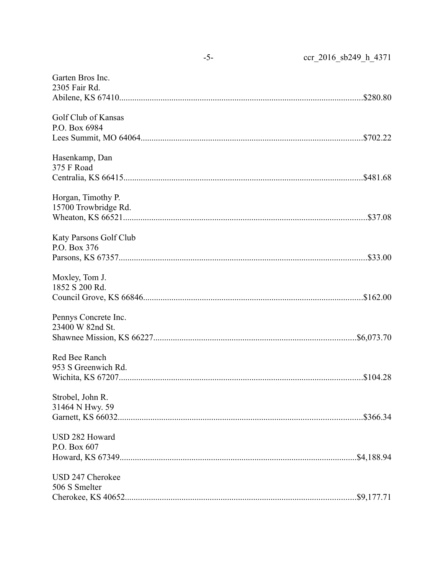| Garten Bros Inc.<br>2305 Fair Rd.          |  |
|--------------------------------------------|--|
| Golf Club of Kansas<br>P.O. Box 6984       |  |
| Hasenkamp, Dan<br>375 F Road               |  |
| Horgan, Timothy P.<br>15700 Trowbridge Rd. |  |
| Katy Parsons Golf Club<br>P.O. Box 376     |  |
| Moxley, Tom J.<br>1852 S 200 Rd.           |  |
| Pennys Concrete Inc.<br>23400 W 82nd St.   |  |
| Red Bee Ranch<br>953 S Greenwich Rd.       |  |
| Strobel, John R.<br>31464 N Hwy. 59        |  |
| USD 282 Howard<br>P.O. Box 607             |  |
| USD 247 Cherokee<br>506 S Smelter          |  |

 $-5-$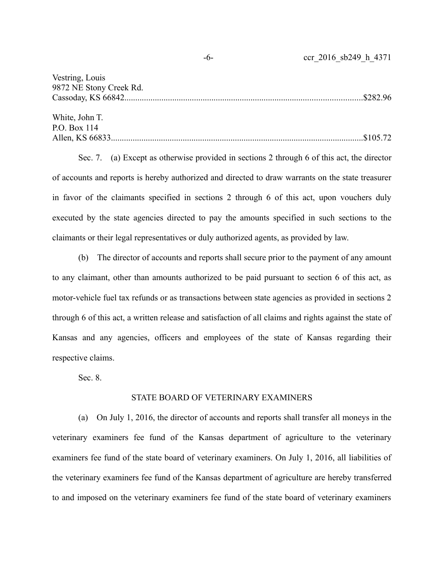| -6- | ccr 2016 sb249 h 4371 |
|-----|-----------------------|
|     |                       |

| Vestring, Louis         |  |
|-------------------------|--|
| 9872 NE Stony Creek Rd. |  |
|                         |  |
|                         |  |
| White, John T.          |  |
| P.O. Box 114            |  |
|                         |  |

Sec. 7. (a) Except as otherwise provided in sections 2 through 6 of this act, the director of accounts and reports is hereby authorized and directed to draw warrants on the state treasurer in favor of the claimants specified in sections 2 through 6 of this act, upon vouchers duly executed by the state agencies directed to pay the amounts specified in such sections to the claimants or their legal representatives or duly authorized agents, as provided by law.

(b) The director of accounts and reports shall secure prior to the payment of any amount to any claimant, other than amounts authorized to be paid pursuant to section 6 of this act, as motor-vehicle fuel tax refunds or as transactions between state agencies as provided in sections 2 through 6 of this act, a written release and satisfaction of all claims and rights against the state of Kansas and any agencies, officers and employees of the state of Kansas regarding their respective claims.

Sec. 8.

# STATE BOARD OF VETERINARY EXAMINERS

(a) On July 1, 2016, the director of accounts and reports shall transfer all moneys in the veterinary examiners fee fund of the Kansas department of agriculture to the veterinary examiners fee fund of the state board of veterinary examiners. On July 1, 2016, all liabilities of the veterinary examiners fee fund of the Kansas department of agriculture are hereby transferred to and imposed on the veterinary examiners fee fund of the state board of veterinary examiners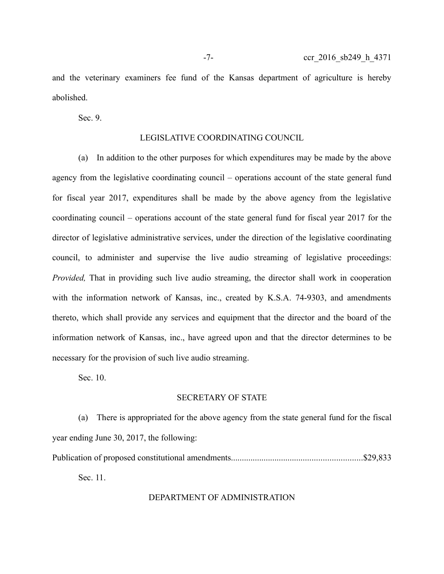Sec. 9.

#### LEGISLATIVE COORDINATING COUNCIL

(a) In addition to the other purposes for which expenditures may be made by the above agency from the legislative coordinating council – operations account of the state general fund for fiscal year 2017, expenditures shall be made by the above agency from the legislative coordinating council – operations account of the state general fund for fiscal year 2017 for the director of legislative administrative services, under the direction of the legislative coordinating council, to administer and supervise the live audio streaming of legislative proceedings: *Provided*, That in providing such live audio streaming, the director shall work in cooperation with the information network of Kansas, inc., created by K.S.A. 74-9303, and amendments thereto, which shall provide any services and equipment that the director and the board of the information network of Kansas, inc., have agreed upon and that the director determines to be necessary for the provision of such live audio streaming.

Sec. 10.

## SECRETARY OF STATE

(a) There is appropriated for the above agency from the state general fund for the fiscal year ending June 30, 2017, the following: Publication of proposed constitutional amendments............................................................\$29,833 Sec. 11.

## DEPARTMENT OF ADMINISTRATION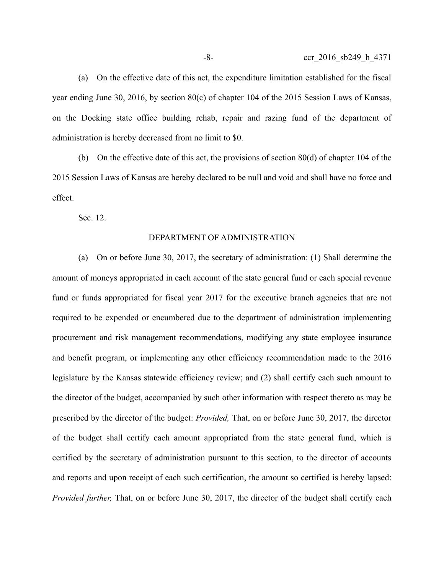(a) On the effective date of this act, the expenditure limitation established for the fiscal year ending June 30, 2016, by section 80(c) of chapter 104 of the 2015 Session Laws of Kansas, on the Docking state office building rehab, repair and razing fund of the department of administration is hereby decreased from no limit to \$0.

(b) On the effective date of this act, the provisions of section 80(d) of chapter 104 of the 2015 Session Laws of Kansas are hereby declared to be null and void and shall have no force and effect.

Sec. 12.

#### DEPARTMENT OF ADMINISTRATION

(a) On or before June 30, 2017, the secretary of administration: (1) Shall determine the amount of moneys appropriated in each account of the state general fund or each special revenue fund or funds appropriated for fiscal year 2017 for the executive branch agencies that are not required to be expended or encumbered due to the department of administration implementing procurement and risk management recommendations, modifying any state employee insurance and benefit program, or implementing any other efficiency recommendation made to the 2016 legislature by the Kansas statewide efficiency review; and (2) shall certify each such amount to the director of the budget, accompanied by such other information with respect thereto as may be prescribed by the director of the budget: *Provided,* That, on or before June 30, 2017, the director of the budget shall certify each amount appropriated from the state general fund, which is certified by the secretary of administration pursuant to this section, to the director of accounts and reports and upon receipt of each such certification, the amount so certified is hereby lapsed: *Provided further,* That, on or before June 30, 2017, the director of the budget shall certify each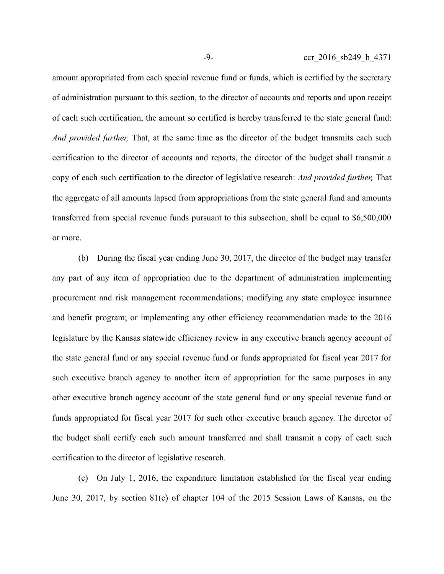amount appropriated from each special revenue fund or funds, which is certified by the secretary of administration pursuant to this section, to the director of accounts and reports and upon receipt of each such certification, the amount so certified is hereby transferred to the state general fund: *And provided further,* That, at the same time as the director of the budget transmits each such certification to the director of accounts and reports, the director of the budget shall transmit a copy of each such certification to the director of legislative research: *And provided further,* That the aggregate of all amounts lapsed from appropriations from the state general fund and amounts transferred from special revenue funds pursuant to this subsection, shall be equal to \$6,500,000 or more.

(b) During the fiscal year ending June 30, 2017, the director of the budget may transfer any part of any item of appropriation due to the department of administration implementing procurement and risk management recommendations; modifying any state employee insurance and benefit program; or implementing any other efficiency recommendation made to the 2016 legislature by the Kansas statewide efficiency review in any executive branch agency account of the state general fund or any special revenue fund or funds appropriated for fiscal year 2017 for such executive branch agency to another item of appropriation for the same purposes in any other executive branch agency account of the state general fund or any special revenue fund or funds appropriated for fiscal year 2017 for such other executive branch agency. The director of the budget shall certify each such amount transferred and shall transmit a copy of each such certification to the director of legislative research.

(c) On July 1, 2016, the expenditure limitation established for the fiscal year ending June 30, 2017, by section 81(c) of chapter 104 of the 2015 Session Laws of Kansas, on the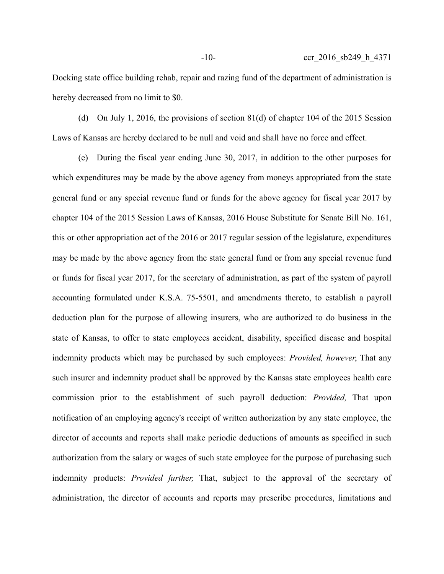Docking state office building rehab, repair and razing fund of the department of administration is hereby decreased from no limit to \$0.

(d) On July 1, 2016, the provisions of section 81(d) of chapter 104 of the 2015 Session Laws of Kansas are hereby declared to be null and void and shall have no force and effect.

(e) During the fiscal year ending June 30, 2017, in addition to the other purposes for which expenditures may be made by the above agency from moneys appropriated from the state general fund or any special revenue fund or funds for the above agency for fiscal year 2017 by chapter 104 of the 2015 Session Laws of Kansas, 2016 House Substitute for Senate Bill No. 161, this or other appropriation act of the 2016 or 2017 regular session of the legislature, expenditures may be made by the above agency from the state general fund or from any special revenue fund or funds for fiscal year 2017, for the secretary of administration, as part of the system of payroll accounting formulated under K.S.A. 75-5501, and amendments thereto, to establish a payroll deduction plan for the purpose of allowing insurers, who are authorized to do business in the state of Kansas, to offer to state employees accident, disability, specified disease and hospital indemnity products which may be purchased by such employees: *Provided, however*, That any such insurer and indemnity product shall be approved by the Kansas state employees health care commission prior to the establishment of such payroll deduction: *Provided,* That upon notification of an employing agency's receipt of written authorization by any state employee, the director of accounts and reports shall make periodic deductions of amounts as specified in such authorization from the salary or wages of such state employee for the purpose of purchasing such indemnity products: *Provided further,* That, subject to the approval of the secretary of administration, the director of accounts and reports may prescribe procedures, limitations and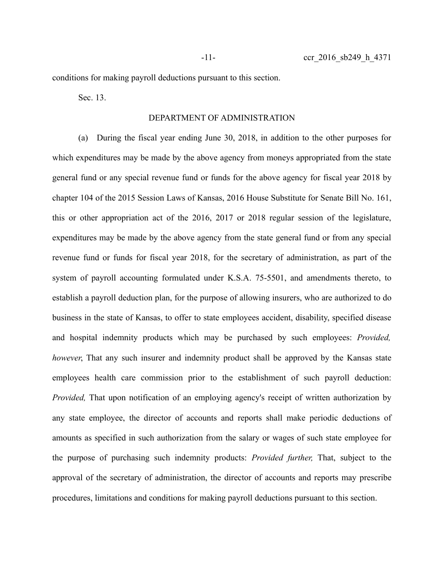-11- ccr 2016 sb249 h 4371

conditions for making payroll deductions pursuant to this section.

Sec. 13.

## DEPARTMENT OF ADMINISTRATION

(a) During the fiscal year ending June 30, 2018, in addition to the other purposes for which expenditures may be made by the above agency from moneys appropriated from the state general fund or any special revenue fund or funds for the above agency for fiscal year 2018 by chapter 104 of the 2015 Session Laws of Kansas, 2016 House Substitute for Senate Bill No. 161, this or other appropriation act of the 2016, 2017 or 2018 regular session of the legislature, expenditures may be made by the above agency from the state general fund or from any special revenue fund or funds for fiscal year 2018, for the secretary of administration, as part of the system of payroll accounting formulated under K.S.A. 75-5501, and amendments thereto, to establish a payroll deduction plan, for the purpose of allowing insurers, who are authorized to do business in the state of Kansas, to offer to state employees accident, disability, specified disease and hospital indemnity products which may be purchased by such employees: *Provided, however*, That any such insurer and indemnity product shall be approved by the Kansas state employees health care commission prior to the establishment of such payroll deduction: *Provided,* That upon notification of an employing agency's receipt of written authorization by any state employee, the director of accounts and reports shall make periodic deductions of amounts as specified in such authorization from the salary or wages of such state employee for the purpose of purchasing such indemnity products: *Provided further,* That, subject to the approval of the secretary of administration, the director of accounts and reports may prescribe procedures, limitations and conditions for making payroll deductions pursuant to this section.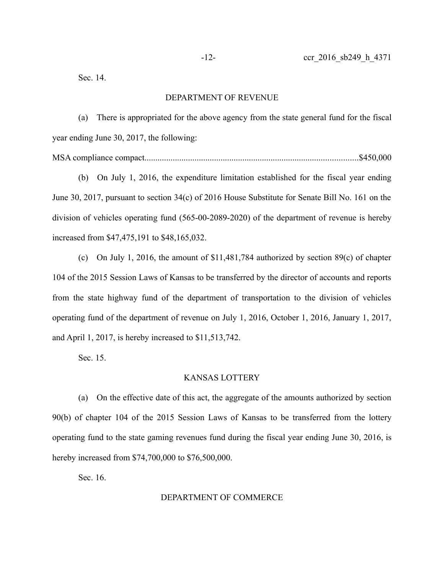Sec. 14.

## DEPARTMENT OF REVENUE

(a) There is appropriated for the above agency from the state general fund for the fiscal year ending June 30, 2017, the following:

MSA compliance compact..................................................................................................\$450,000

(b) On July 1, 2016, the expenditure limitation established for the fiscal year ending June 30, 2017, pursuant to section 34(c) of 2016 House Substitute for Senate Bill No. 161 on the division of vehicles operating fund (565-00-2089-2020) of the department of revenue is hereby increased from \$47,475,191 to \$48,165,032.

(c) On July 1, 2016, the amount of \$11,481,784 authorized by section 89(c) of chapter 104 of the 2015 Session Laws of Kansas to be transferred by the director of accounts and reports from the state highway fund of the department of transportation to the division of vehicles operating fund of the department of revenue on July 1, 2016, October 1, 2016, January 1, 2017, and April 1, 2017, is hereby increased to \$11,513,742.

Sec. 15.

#### KANSAS LOTTERY

(a) On the effective date of this act, the aggregate of the amounts authorized by section 90(b) of chapter 104 of the 2015 Session Laws of Kansas to be transferred from the lottery operating fund to the state gaming revenues fund during the fiscal year ending June 30, 2016, is hereby increased from \$74,700,000 to \$76,500,000.

Sec. 16.

#### DEPARTMENT OF COMMERCE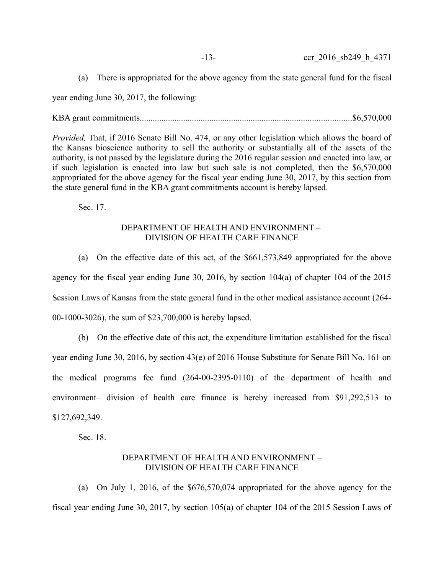year ending June 30, 2017, the following:

KBA grant commitments.................................................................................................\$6,570,000

*Provided,* That, if 2016 Senate Bill No. 474, or any other legislation which allows the board of the Kansas bioscience authority to sell the authority or substantially all of the assets of the authority, is not passed by the legislature during the 2016 regular session and enacted into law, or if such legislation is enacted into law but such sale is not completed, then the \$6,570,000 appropriated for the above agency for the fiscal year ending June 30, 2017, by this section from the state general fund in the KBA grant commitments account is hereby lapsed.

Sec. 17.

# DEPARTMENT OF HEALTH AND ENVIRONMENT – DIVISION OF HEALTH CARE FINANCE

(a) On the effective date of this act, of the \$661,573,849 appropriated for the above agency for the fiscal year ending June 30, 2016, by section 104(a) of chapter 104 of the 2015 Session Laws of Kansas from the state general fund in the other medical assistance account (264- 00-1000-3026), the sum of \$23,700,000 is hereby lapsed.

(b) On the effective date of this act, the expenditure limitation established for the fiscal year ending June 30, 2016, by section 43(e) of 2016 House Substitute for Senate Bill No. 161 on the medical programs fee fund (264-00-2395-0110) of the department of health and environment– division of health care finance is hereby increased from \$91,292,513 to \$127,692,349.

Sec. 18.

# DEPARTMENT OF HEALTH AND ENVIRONMENT – DIVISION OF HEALTH CARE FINANCE

(a) On July 1, 2016, of the \$676,570,074 appropriated for the above agency for the fiscal year ending June 30, 2017, by section 105(a) of chapter 104 of the 2015 Session Laws of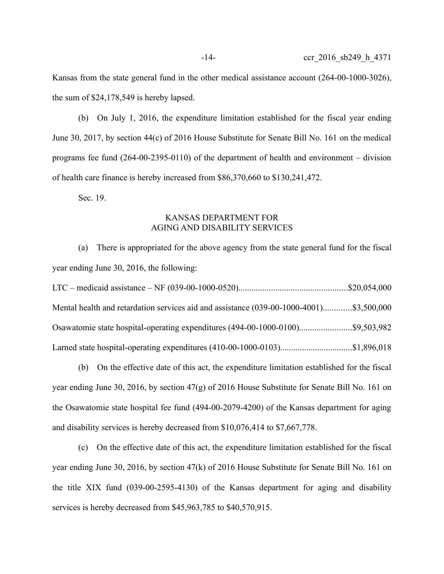Kansas from the state general fund in the other medical assistance account (264-00-1000-3026), the sum of \$24,178,549 is hereby lapsed.

(b) On July 1, 2016, the expenditure limitation established for the fiscal year ending June 30, 2017, by section 44(c) of 2016 House Substitute for Senate Bill No. 161 on the medical programs fee fund (264-00-2395-0110) of the department of health and environment – division of health care finance is hereby increased from \$86,370,660 to \$130,241,472.

Sec. 19.

# KANSAS DEPARTMENT FOR AGING AND DISABILITY SERVICES

(a) There is appropriated for the above agency from the state general fund for the fiscal year ending June 30, 2016, the following:

| Mental health and retardation services aid and assistance (039-00-1000-4001)\$3,500,000 |  |
|-----------------------------------------------------------------------------------------|--|
| Osawatomie state hospital-operating expenditures (494-00-1000-0100)\$9,503,982          |  |
| Larned state hospital-operating expenditures (410-00-1000-0103)\$1,896,018              |  |

(b) On the effective date of this act, the expenditure limitation established for the fiscal year ending June 30, 2016, by section 47(g) of 2016 House Substitute for Senate Bill No. 161 on the Osawatomie state hospital fee fund (494-00-2079-4200) of the Kansas department for aging and disability services is hereby decreased from \$10,076,414 to \$7,667,778.

(c) On the effective date of this act, the expenditure limitation established for the fiscal year ending June 30, 2016, by section 47(k) of 2016 House Substitute for Senate Bill No. 161 on the title XIX fund (039-00-2595-4130) of the Kansas department for aging and disability services is hereby decreased from \$45,963,785 to \$40,570,915.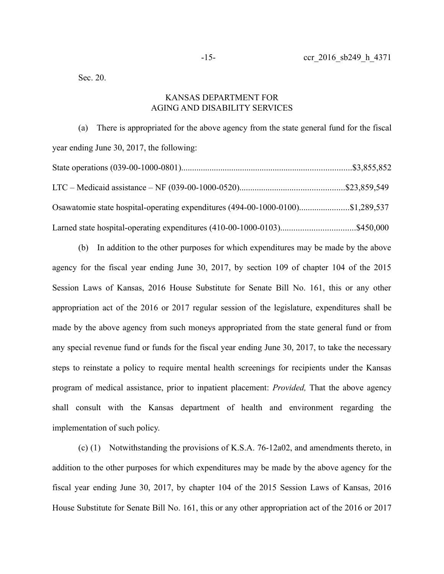Sec. 20.

# KANSAS DEPARTMENT FOR AGING AND DISABILITY SERVICES

(a) There is appropriated for the above agency from the state general fund for the fiscal year ending June 30, 2017, the following: State operations (039-00-1000-0801)..............................................................................\$3,855,852 LTC – Medicaid assistance – NF (039-00-1000-0520)................................................\$23,859,549 Osawatomie state hospital-operating expenditures (494-00-1000-0100).......................\$1,289,537 Larned state hospital-operating expenditures (410-00-1000-0103)..................................\$450,000

(b) In addition to the other purposes for which expenditures may be made by the above agency for the fiscal year ending June 30, 2017, by section 109 of chapter 104 of the 2015 Session Laws of Kansas, 2016 House Substitute for Senate Bill No. 161, this or any other appropriation act of the 2016 or 2017 regular session of the legislature, expenditures shall be made by the above agency from such moneys appropriated from the state general fund or from any special revenue fund or funds for the fiscal year ending June 30, 2017, to take the necessary steps to reinstate a policy to require mental health screenings for recipients under the Kansas program of medical assistance, prior to inpatient placement: *Provided,* That the above agency shall consult with the Kansas department of health and environment regarding the implementation of such policy.

(c) (1) Notwithstanding the provisions of K.S.A. 76-12a02, and amendments thereto, in addition to the other purposes for which expenditures may be made by the above agency for the fiscal year ending June 30, 2017, by chapter 104 of the 2015 Session Laws of Kansas, 2016 House Substitute for Senate Bill No. 161, this or any other appropriation act of the 2016 or 2017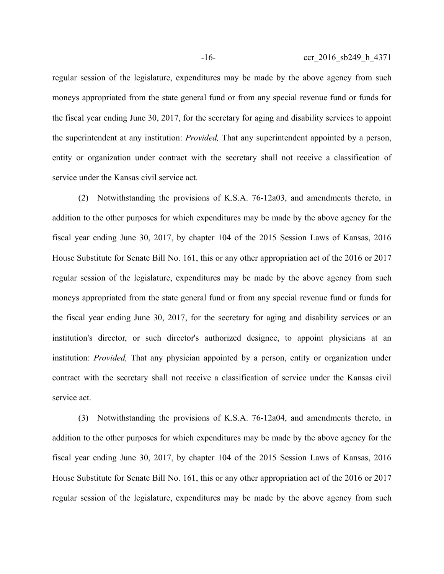regular session of the legislature, expenditures may be made by the above agency from such moneys appropriated from the state general fund or from any special revenue fund or funds for the fiscal year ending June 30, 2017, for the secretary for aging and disability services to appoint the superintendent at any institution: *Provided,* That any superintendent appointed by a person, entity or organization under contract with the secretary shall not receive a classification of service under the Kansas civil service act.

(2) Notwithstanding the provisions of K.S.A. 76-12a03, and amendments thereto, in addition to the other purposes for which expenditures may be made by the above agency for the fiscal year ending June 30, 2017, by chapter 104 of the 2015 Session Laws of Kansas, 2016 House Substitute for Senate Bill No. 161, this or any other appropriation act of the 2016 or 2017 regular session of the legislature, expenditures may be made by the above agency from such moneys appropriated from the state general fund or from any special revenue fund or funds for the fiscal year ending June 30, 2017, for the secretary for aging and disability services or an institution's director, or such director's authorized designee, to appoint physicians at an institution: *Provided,* That any physician appointed by a person, entity or organization under contract with the secretary shall not receive a classification of service under the Kansas civil service act.

(3) Notwithstanding the provisions of K.S.A. 76-12a04, and amendments thereto, in addition to the other purposes for which expenditures may be made by the above agency for the fiscal year ending June 30, 2017, by chapter 104 of the 2015 Session Laws of Kansas, 2016 House Substitute for Senate Bill No. 161, this or any other appropriation act of the 2016 or 2017 regular session of the legislature, expenditures may be made by the above agency from such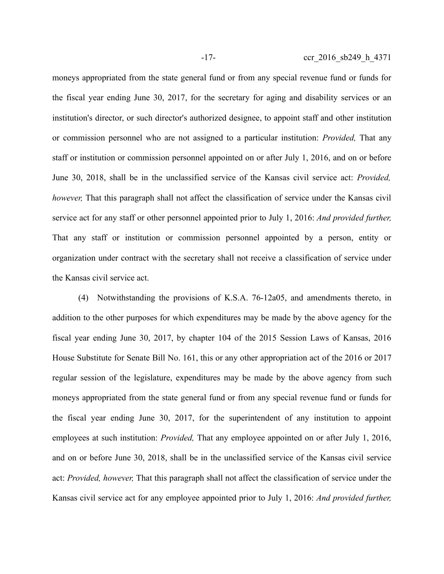moneys appropriated from the state general fund or from any special revenue fund or funds for the fiscal year ending June 30, 2017, for the secretary for aging and disability services or an institution's director, or such director's authorized designee, to appoint staff and other institution or commission personnel who are not assigned to a particular institution: *Provided,* That any staff or institution or commission personnel appointed on or after July 1, 2016, and on or before June 30, 2018, shall be in the unclassified service of the Kansas civil service act: *Provided, however,* That this paragraph shall not affect the classification of service under the Kansas civil service act for any staff or other personnel appointed prior to July 1, 2016: *And provided further,* That any staff or institution or commission personnel appointed by a person, entity or organization under contract with the secretary shall not receive a classification of service under the Kansas civil service act.

(4) Notwithstanding the provisions of K.S.A. 76-12a05, and amendments thereto, in addition to the other purposes for which expenditures may be made by the above agency for the fiscal year ending June 30, 2017, by chapter 104 of the 2015 Session Laws of Kansas, 2016 House Substitute for Senate Bill No. 161, this or any other appropriation act of the 2016 or 2017 regular session of the legislature, expenditures may be made by the above agency from such moneys appropriated from the state general fund or from any special revenue fund or funds for the fiscal year ending June 30, 2017, for the superintendent of any institution to appoint employees at such institution: *Provided,* That any employee appointed on or after July 1, 2016, and on or before June 30, 2018, shall be in the unclassified service of the Kansas civil service act: *Provided, however,* That this paragraph shall not affect the classification of service under the Kansas civil service act for any employee appointed prior to July 1, 2016: *And provided further,*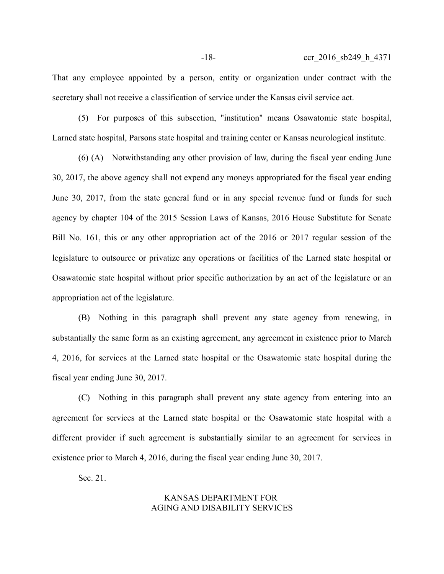That any employee appointed by a person, entity or organization under contract with the secretary shall not receive a classification of service under the Kansas civil service act.

(5) For purposes of this subsection, "institution" means Osawatomie state hospital, Larned state hospital, Parsons state hospital and training center or Kansas neurological institute.

(6) (A) Notwithstanding any other provision of law, during the fiscal year ending June 30, 2017, the above agency shall not expend any moneys appropriated for the fiscal year ending June 30, 2017, from the state general fund or in any special revenue fund or funds for such agency by chapter 104 of the 2015 Session Laws of Kansas, 2016 House Substitute for Senate Bill No. 161, this or any other appropriation act of the 2016 or 2017 regular session of the legislature to outsource or privatize any operations or facilities of the Larned state hospital or Osawatomie state hospital without prior specific authorization by an act of the legislature or an appropriation act of the legislature.

(B) Nothing in this paragraph shall prevent any state agency from renewing, in substantially the same form as an existing agreement, any agreement in existence prior to March 4, 2016, for services at the Larned state hospital or the Osawatomie state hospital during the fiscal year ending June 30, 2017.

(C) Nothing in this paragraph shall prevent any state agency from entering into an agreement for services at the Larned state hospital or the Osawatomie state hospital with a different provider if such agreement is substantially similar to an agreement for services in existence prior to March 4, 2016, during the fiscal year ending June 30, 2017.

Sec. 21.

# KANSAS DEPARTMENT FOR AGING AND DISABILITY SERVICES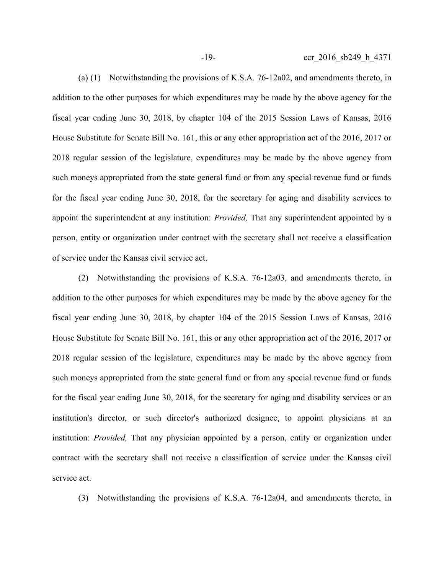-19- ccr 2016 sb249 h 4371

(a) (1) Notwithstanding the provisions of K.S.A. 76-12a02, and amendments thereto, in addition to the other purposes for which expenditures may be made by the above agency for the fiscal year ending June 30, 2018, by chapter 104 of the 2015 Session Laws of Kansas, 2016 House Substitute for Senate Bill No. 161, this or any other appropriation act of the 2016, 2017 or 2018 regular session of the legislature, expenditures may be made by the above agency from such moneys appropriated from the state general fund or from any special revenue fund or funds for the fiscal year ending June 30, 2018, for the secretary for aging and disability services to appoint the superintendent at any institution: *Provided,* That any superintendent appointed by a person, entity or organization under contract with the secretary shall not receive a classification of service under the Kansas civil service act.

(2) Notwithstanding the provisions of K.S.A. 76-12a03, and amendments thereto, in addition to the other purposes for which expenditures may be made by the above agency for the fiscal year ending June 30, 2018, by chapter 104 of the 2015 Session Laws of Kansas, 2016 House Substitute for Senate Bill No. 161, this or any other appropriation act of the 2016, 2017 or 2018 regular session of the legislature, expenditures may be made by the above agency from such moneys appropriated from the state general fund or from any special revenue fund or funds for the fiscal year ending June 30, 2018, for the secretary for aging and disability services or an institution's director, or such director's authorized designee, to appoint physicians at an institution: *Provided,* That any physician appointed by a person, entity or organization under contract with the secretary shall not receive a classification of service under the Kansas civil service act.

(3) Notwithstanding the provisions of K.S.A. 76-12a04, and amendments thereto, in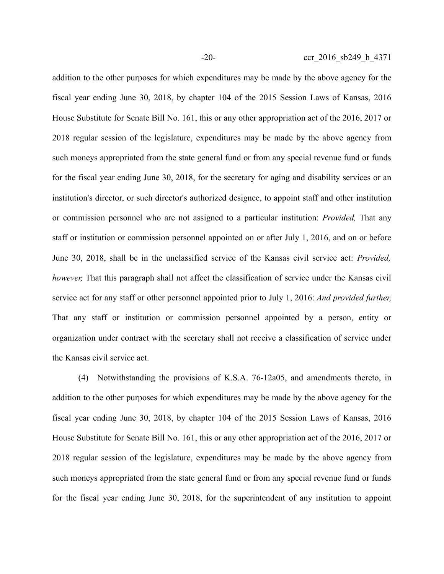addition to the other purposes for which expenditures may be made by the above agency for the fiscal year ending June 30, 2018, by chapter 104 of the 2015 Session Laws of Kansas, 2016 House Substitute for Senate Bill No. 161, this or any other appropriation act of the 2016, 2017 or 2018 regular session of the legislature, expenditures may be made by the above agency from such moneys appropriated from the state general fund or from any special revenue fund or funds for the fiscal year ending June 30, 2018, for the secretary for aging and disability services or an institution's director, or such director's authorized designee, to appoint staff and other institution or commission personnel who are not assigned to a particular institution: *Provided,* That any staff or institution or commission personnel appointed on or after July 1, 2016, and on or before June 30, 2018, shall be in the unclassified service of the Kansas civil service act: *Provided, however,* That this paragraph shall not affect the classification of service under the Kansas civil service act for any staff or other personnel appointed prior to July 1, 2016: *And provided further,* That any staff or institution or commission personnel appointed by a person, entity or organization under contract with the secretary shall not receive a classification of service under the Kansas civil service act.

(4) Notwithstanding the provisions of K.S.A. 76-12a05, and amendments thereto, in addition to the other purposes for which expenditures may be made by the above agency for the fiscal year ending June 30, 2018, by chapter 104 of the 2015 Session Laws of Kansas, 2016 House Substitute for Senate Bill No. 161, this or any other appropriation act of the 2016, 2017 or 2018 regular session of the legislature, expenditures may be made by the above agency from such moneys appropriated from the state general fund or from any special revenue fund or funds for the fiscal year ending June 30, 2018, for the superintendent of any institution to appoint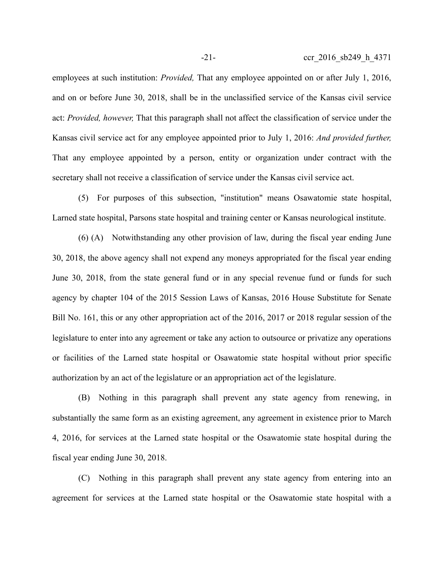employees at such institution: *Provided,* That any employee appointed on or after July 1, 2016, and on or before June 30, 2018, shall be in the unclassified service of the Kansas civil service act: *Provided, however,* That this paragraph shall not affect the classification of service under the Kansas civil service act for any employee appointed prior to July 1, 2016: *And provided further,* That any employee appointed by a person, entity or organization under contract with the secretary shall not receive a classification of service under the Kansas civil service act.

(5) For purposes of this subsection, "institution" means Osawatomie state hospital, Larned state hospital, Parsons state hospital and training center or Kansas neurological institute.

(6) (A) Notwithstanding any other provision of law, during the fiscal year ending June 30, 2018, the above agency shall not expend any moneys appropriated for the fiscal year ending June 30, 2018, from the state general fund or in any special revenue fund or funds for such agency by chapter 104 of the 2015 Session Laws of Kansas, 2016 House Substitute for Senate Bill No. 161, this or any other appropriation act of the 2016, 2017 or 2018 regular session of the legislature to enter into any agreement or take any action to outsource or privatize any operations or facilities of the Larned state hospital or Osawatomie state hospital without prior specific authorization by an act of the legislature or an appropriation act of the legislature.

(B) Nothing in this paragraph shall prevent any state agency from renewing, in substantially the same form as an existing agreement, any agreement in existence prior to March 4, 2016, for services at the Larned state hospital or the Osawatomie state hospital during the fiscal year ending June 30, 2018.

(C) Nothing in this paragraph shall prevent any state agency from entering into an agreement for services at the Larned state hospital or the Osawatomie state hospital with a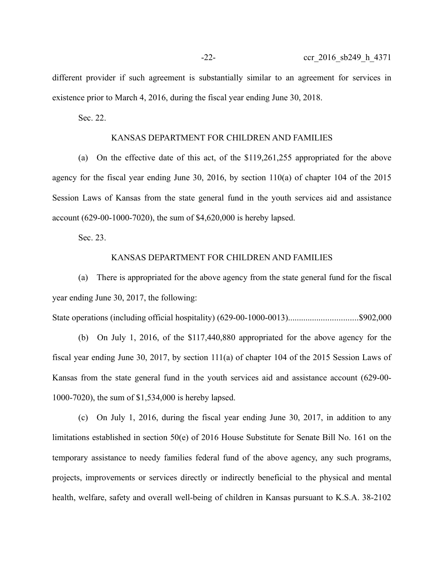different provider if such agreement is substantially similar to an agreement for services in existence prior to March 4, 2016, during the fiscal year ending June 30, 2018.

Sec. 22.

### KANSAS DEPARTMENT FOR CHILDREN AND FAMILIES

(a) On the effective date of this act, of the \$119,261,255 appropriated for the above agency for the fiscal year ending June 30, 2016, by section 110(a) of chapter 104 of the 2015 Session Laws of Kansas from the state general fund in the youth services aid and assistance account (629-00-1000-7020), the sum of \$4,620,000 is hereby lapsed.

Sec. 23.

#### KANSAS DEPARTMENT FOR CHILDREN AND FAMILIES

(a) There is appropriated for the above agency from the state general fund for the fiscal year ending June 30, 2017, the following:

State operations (including official hospitality) (629-00-1000-0013)................................\$902,000

(b) On July 1, 2016, of the \$117,440,880 appropriated for the above agency for the fiscal year ending June 30, 2017, by section 111(a) of chapter 104 of the 2015 Session Laws of Kansas from the state general fund in the youth services aid and assistance account (629-00- 1000-7020), the sum of \$1,534,000 is hereby lapsed.

(c) On July 1, 2016, during the fiscal year ending June 30, 2017, in addition to any limitations established in section 50(e) of 2016 House Substitute for Senate Bill No. 161 on the temporary assistance to needy families federal fund of the above agency, any such programs, projects, improvements or services directly or indirectly beneficial to the physical and mental health, welfare, safety and overall well-being of children in Kansas pursuant to K.S.A. 38-2102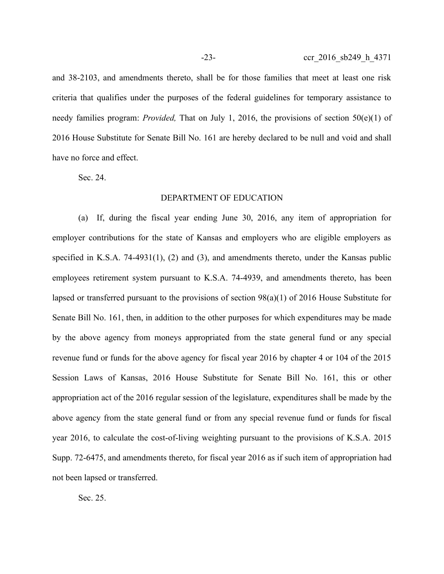and 38-2103, and amendments thereto, shall be for those families that meet at least one risk criteria that qualifies under the purposes of the federal guidelines for temporary assistance to needy families program: *Provided,* That on July 1, 2016, the provisions of section 50(e)(1) of 2016 House Substitute for Senate Bill No. 161 are hereby declared to be null and void and shall have no force and effect.

Sec. 24.

#### DEPARTMENT OF EDUCATION

(a) If, during the fiscal year ending June 30, 2016, any item of appropriation for employer contributions for the state of Kansas and employers who are eligible employers as specified in K.S.A. 74-4931(1), (2) and (3), and amendments thereto, under the Kansas public employees retirement system pursuant to K.S.A. 74-4939, and amendments thereto, has been lapsed or transferred pursuant to the provisions of section 98(a)(1) of 2016 House Substitute for Senate Bill No. 161, then, in addition to the other purposes for which expenditures may be made by the above agency from moneys appropriated from the state general fund or any special revenue fund or funds for the above agency for fiscal year 2016 by chapter 4 or 104 of the 2015 Session Laws of Kansas, 2016 House Substitute for Senate Bill No. 161, this or other appropriation act of the 2016 regular session of the legislature, expenditures shall be made by the above agency from the state general fund or from any special revenue fund or funds for fiscal year 2016, to calculate the cost-of-living weighting pursuant to the provisions of K.S.A. 2015 Supp. 72-6475, and amendments thereto, for fiscal year 2016 as if such item of appropriation had not been lapsed or transferred.

Sec. 25.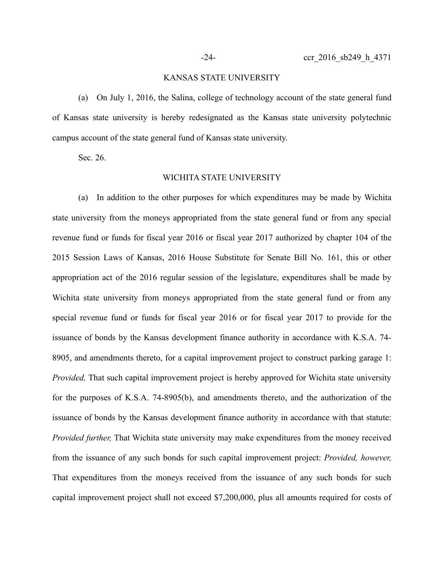## KANSAS STATE UNIVERSITY

(a) On July 1, 2016, the Salina, college of technology account of the state general fund of Kansas state university is hereby redesignated as the Kansas state university polytechnic campus account of the state general fund of Kansas state university.

Sec. 26.

#### WICHITA STATE UNIVERSITY

(a) In addition to the other purposes for which expenditures may be made by Wichita state university from the moneys appropriated from the state general fund or from any special revenue fund or funds for fiscal year 2016 or fiscal year 2017 authorized by chapter 104 of the 2015 Session Laws of Kansas, 2016 House Substitute for Senate Bill No. 161, this or other appropriation act of the 2016 regular session of the legislature, expenditures shall be made by Wichita state university from moneys appropriated from the state general fund or from any special revenue fund or funds for fiscal year 2016 or for fiscal year 2017 to provide for the issuance of bonds by the Kansas development finance authority in accordance with K.S.A. 74- 8905, and amendments thereto, for a capital improvement project to construct parking garage 1: *Provided,* That such capital improvement project is hereby approved for Wichita state university for the purposes of K.S.A. 74-8905(b), and amendments thereto, and the authorization of the issuance of bonds by the Kansas development finance authority in accordance with that statute: *Provided further,* That Wichita state university may make expenditures from the money received from the issuance of any such bonds for such capital improvement project: *Provided, however,* That expenditures from the moneys received from the issuance of any such bonds for such capital improvement project shall not exceed \$7,200,000, plus all amounts required for costs of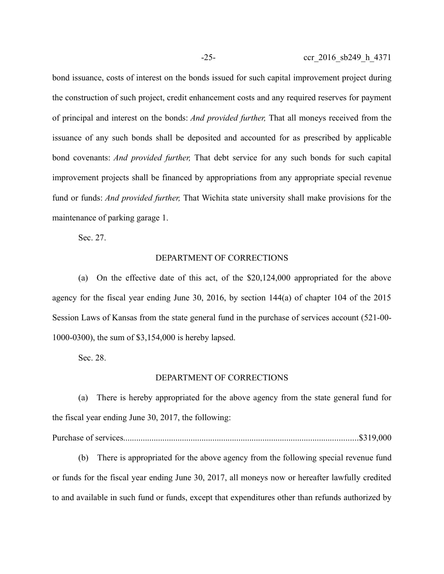bond issuance, costs of interest on the bonds issued for such capital improvement project during the construction of such project, credit enhancement costs and any required reserves for payment of principal and interest on the bonds: *And provided further,* That all moneys received from the issuance of any such bonds shall be deposited and accounted for as prescribed by applicable bond covenants: *And provided further,* That debt service for any such bonds for such capital improvement projects shall be financed by appropriations from any appropriate special revenue fund or funds: *And provided further,* That Wichita state university shall make provisions for the maintenance of parking garage 1.

Sec. 27.

### DEPARTMENT OF CORRECTIONS

(a) On the effective date of this act, of the \$20,124,000 appropriated for the above agency for the fiscal year ending June 30, 2016, by section 144(a) of chapter 104 of the 2015 Session Laws of Kansas from the state general fund in the purchase of services account (521-00- 1000-0300), the sum of \$3,154,000 is hereby lapsed.

Sec. 28.

#### DEPARTMENT OF CORRECTIONS

(a) There is hereby appropriated for the above agency from the state general fund for the fiscal year ending June 30, 2017, the following:

Purchase of services............................................................................................................\$319,000

(b) There is appropriated for the above agency from the following special revenue fund or funds for the fiscal year ending June 30, 2017, all moneys now or hereafter lawfully credited to and available in such fund or funds, except that expenditures other than refunds authorized by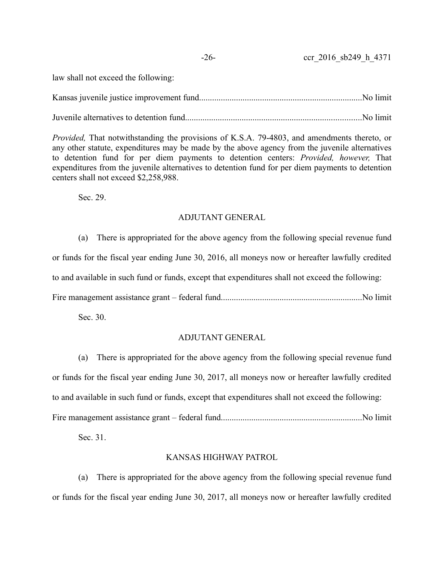## -26- ccr 2016 sb249 h 4371

law shall not exceed the following:

Kansas juvenile justice improvement fund...........................................................................No limit

Juvenile alternatives to detention fund.................................................................................No limit

*Provided,* That notwithstanding the provisions of K.S.A. 79-4803, and amendments thereto, or any other statute, expenditures may be made by the above agency from the juvenile alternatives to detention fund for per diem payments to detention centers: *Provided, however,* That expenditures from the juvenile alternatives to detention fund for per diem payments to detention centers shall not exceed \$2,258,988.

Sec. 29.

# ADJUTANT GENERAL

(a) There is appropriated for the above agency from the following special revenue fund or funds for the fiscal year ending June 30, 2016, all moneys now or hereafter lawfully credited to and available in such fund or funds, except that expenditures shall not exceed the following: Fire management assistance grant – federal fund.................................................................No limit

Sec. 30.

# ADJUTANT GENERAL

(a) There is appropriated for the above agency from the following special revenue fund or funds for the fiscal year ending June 30, 2017, all moneys now or hereafter lawfully credited to and available in such fund or funds, except that expenditures shall not exceed the following: Fire management assistance grant – federal fund.................................................................No limit

Sec. 31.

## KANSAS HIGHWAY PATROL

(a) There is appropriated for the above agency from the following special revenue fund or funds for the fiscal year ending June 30, 2017, all moneys now or hereafter lawfully credited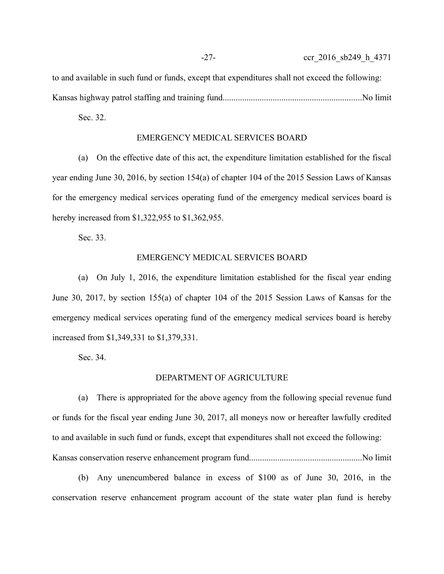to and available in such fund or funds, except that expenditures shall not exceed the following: Kansas highway patrol staffing and training fund................................................................No limit

Sec. 32.

#### EMERGENCY MEDICAL SERVICES BOARD

(a) On the effective date of this act, the expenditure limitation established for the fiscal year ending June 30, 2016, by section 154(a) of chapter 104 of the 2015 Session Laws of Kansas for the emergency medical services operating fund of the emergency medical services board is hereby increased from \$1,322,955 to \$1,362,955.

Sec. 33.

### EMERGENCY MEDICAL SERVICES BOARD

(a) On July 1, 2016, the expenditure limitation established for the fiscal year ending June 30, 2017, by section 155(a) of chapter 104 of the 2015 Session Laws of Kansas for the emergency medical services operating fund of the emergency medical services board is hereby increased from \$1,349,331 to \$1,379,331.

Sec. 34.

#### DEPARTMENT OF AGRICULTURE

(a) There is appropriated for the above agency from the following special revenue fund or funds for the fiscal year ending June 30, 2017, all moneys now or hereafter lawfully credited to and available in such fund or funds, except that expenditures shall not exceed the following: Kansas conservation reserve enhancement program fund....................................................No limit

(b) Any unencumbered balance in excess of \$100 as of June 30, 2016, in the conservation reserve enhancement program account of the state water plan fund is hereby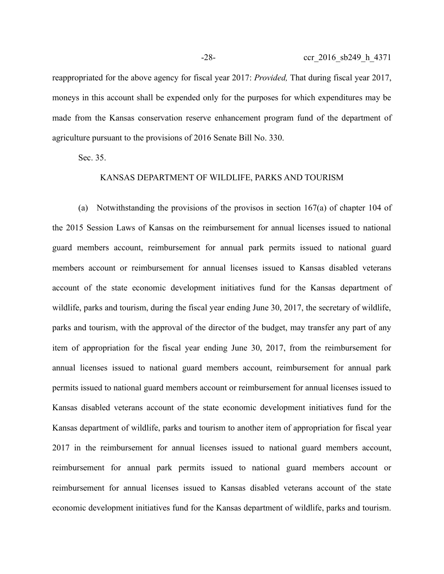reappropriated for the above agency for fiscal year 2017: *Provided,* That during fiscal year 2017, moneys in this account shall be expended only for the purposes for which expenditures may be made from the Kansas conservation reserve enhancement program fund of the department of agriculture pursuant to the provisions of 2016 Senate Bill No. 330.

Sec. 35.

## KANSAS DEPARTMENT OF WILDLIFE, PARKS AND TOURISM

(a) Notwithstanding the provisions of the provisos in section 167(a) of chapter 104 of the 2015 Session Laws of Kansas on the reimbursement for annual licenses issued to national guard members account, reimbursement for annual park permits issued to national guard members account or reimbursement for annual licenses issued to Kansas disabled veterans account of the state economic development initiatives fund for the Kansas department of wildlife, parks and tourism, during the fiscal year ending June 30, 2017, the secretary of wildlife, parks and tourism, with the approval of the director of the budget, may transfer any part of any item of appropriation for the fiscal year ending June 30, 2017, from the reimbursement for annual licenses issued to national guard members account, reimbursement for annual park permits issued to national guard members account or reimbursement for annual licenses issued to Kansas disabled veterans account of the state economic development initiatives fund for the Kansas department of wildlife, parks and tourism to another item of appropriation for fiscal year 2017 in the reimbursement for annual licenses issued to national guard members account, reimbursement for annual park permits issued to national guard members account or reimbursement for annual licenses issued to Kansas disabled veterans account of the state economic development initiatives fund for the Kansas department of wildlife, parks and tourism.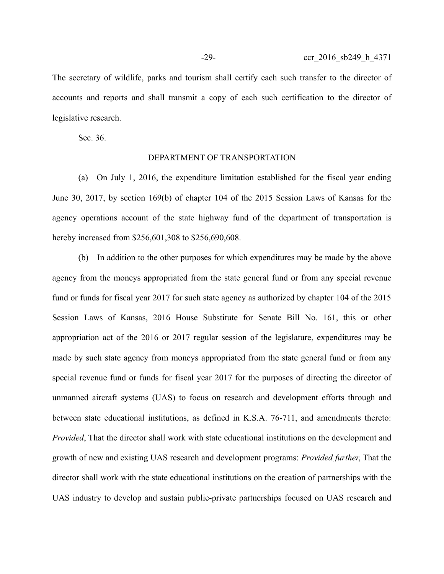The secretary of wildlife, parks and tourism shall certify each such transfer to the director of accounts and reports and shall transmit a copy of each such certification to the director of legislative research.

Sec. 36.

## DEPARTMENT OF TRANSPORTATION

(a) On July 1, 2016, the expenditure limitation established for the fiscal year ending June 30, 2017, by section 169(b) of chapter 104 of the 2015 Session Laws of Kansas for the agency operations account of the state highway fund of the department of transportation is hereby increased from \$256,601,308 to \$256,690,608.

(b) In addition to the other purposes for which expenditures may be made by the above agency from the moneys appropriated from the state general fund or from any special revenue fund or funds for fiscal year 2017 for such state agency as authorized by chapter 104 of the 2015 Session Laws of Kansas, 2016 House Substitute for Senate Bill No. 161, this or other appropriation act of the 2016 or 2017 regular session of the legislature, expenditures may be made by such state agency from moneys appropriated from the state general fund or from any special revenue fund or funds for fiscal year 2017 for the purposes of directing the director of unmanned aircraft systems (UAS) to focus on research and development efforts through and between state educational institutions, as defined in K.S.A. 76-711, and amendments thereto: *Provided*, That the director shall work with state educational institutions on the development and growth of new and existing UAS research and development programs: *Provided further*, That the director shall work with the state educational institutions on the creation of partnerships with the UAS industry to develop and sustain public-private partnerships focused on UAS research and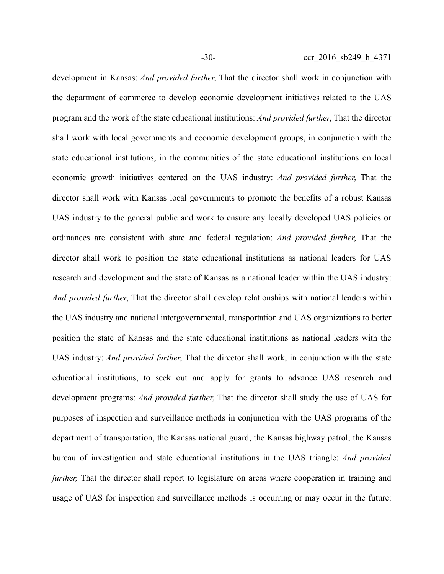development in Kansas: *And provided further*, That the director shall work in conjunction with the department of commerce to develop economic development initiatives related to the UAS program and the work of the state educational institutions: *And provided further*, That the director shall work with local governments and economic development groups, in conjunction with the state educational institutions, in the communities of the state educational institutions on local economic growth initiatives centered on the UAS industry: *And provided further*, That the director shall work with Kansas local governments to promote the benefits of a robust Kansas UAS industry to the general public and work to ensure any locally developed UAS policies or ordinances are consistent with state and federal regulation: *And provided further*, That the director shall work to position the state educational institutions as national leaders for UAS research and development and the state of Kansas as a national leader within the UAS industry: *And provided further*, That the director shall develop relationships with national leaders within the UAS industry and national intergovernmental, transportation and UAS organizations to better position the state of Kansas and the state educational institutions as national leaders with the UAS industry: *And provided further*, That the director shall work, in conjunction with the state educational institutions, to seek out and apply for grants to advance UAS research and development programs: *And provided further*, That the director shall study the use of UAS for purposes of inspection and surveillance methods in conjunction with the UAS programs of the department of transportation, the Kansas national guard, the Kansas highway patrol, the Kansas bureau of investigation and state educational institutions in the UAS triangle: *And provided further*, That the director shall report to legislature on areas where cooperation in training and usage of UAS for inspection and surveillance methods is occurring or may occur in the future: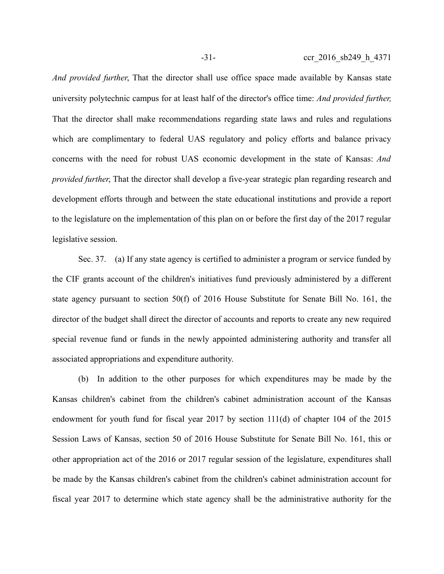*And provided further*, That the director shall use office space made available by Kansas state university polytechnic campus for at least half of the director's office time: *And provided further,* That the director shall make recommendations regarding state laws and rules and regulations which are complimentary to federal UAS regulatory and policy efforts and balance privacy concerns with the need for robust UAS economic development in the state of Kansas: *And provided further*, That the director shall develop a five-year strategic plan regarding research and development efforts through and between the state educational institutions and provide a report to the legislature on the implementation of this plan on or before the first day of the 2017 regular legislative session.

Sec. 37. (a) If any state agency is certified to administer a program or service funded by the CIF grants account of the children's initiatives fund previously administered by a different state agency pursuant to section 50(f) of 2016 House Substitute for Senate Bill No. 161, the director of the budget shall direct the director of accounts and reports to create any new required special revenue fund or funds in the newly appointed administering authority and transfer all associated appropriations and expenditure authority.

(b) In addition to the other purposes for which expenditures may be made by the Kansas children's cabinet from the children's cabinet administration account of the Kansas endowment for youth fund for fiscal year 2017 by section 111(d) of chapter 104 of the 2015 Session Laws of Kansas, section 50 of 2016 House Substitute for Senate Bill No. 161, this or other appropriation act of the 2016 or 2017 regular session of the legislature, expenditures shall be made by the Kansas children's cabinet from the children's cabinet administration account for fiscal year 2017 to determine which state agency shall be the administrative authority for the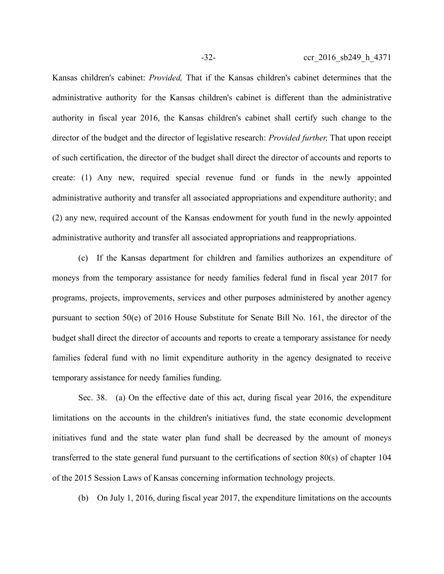Kansas children's cabinet: *Provided,* That if the Kansas children's cabinet determines that the administrative authority for the Kansas children's cabinet is different than the administrative authority in fiscal year 2016, the Kansas children's cabinet shall certify such change to the director of the budget and the director of legislative research: *Provided further,* That upon receipt of such certification, the director of the budget shall direct the director of accounts and reports to create: (1) Any new, required special revenue fund or funds in the newly appointed administrative authority and transfer all associated appropriations and expenditure authority; and (2) any new, required account of the Kansas endowment for youth fund in the newly appointed administrative authority and transfer all associated appropriations and reappropriations.

(c) If the Kansas department for children and families authorizes an expenditure of moneys from the temporary assistance for needy families federal fund in fiscal year 2017 for programs, projects, improvements, services and other purposes administered by another agency pursuant to section 50(e) of 2016 House Substitute for Senate Bill No. 161, the director of the budget shall direct the director of accounts and reports to create a temporary assistance for needy families federal fund with no limit expenditure authority in the agency designated to receive temporary assistance for needy families funding.

Sec. 38. (a) On the effective date of this act, during fiscal year 2016, the expenditure limitations on the accounts in the children's initiatives fund, the state economic development initiatives fund and the state water plan fund shall be decreased by the amount of moneys transferred to the state general fund pursuant to the certifications of section 80(s) of chapter 104 of the 2015 Session Laws of Kansas concerning information technology projects.

(b) On July 1, 2016, during fiscal year 2017, the expenditure limitations on the accounts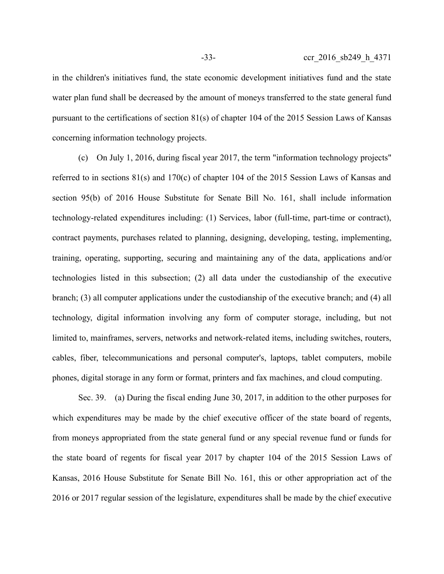in the children's initiatives fund, the state economic development initiatives fund and the state water plan fund shall be decreased by the amount of moneys transferred to the state general fund pursuant to the certifications of section 81(s) of chapter 104 of the 2015 Session Laws of Kansas concerning information technology projects.

(c) On July 1, 2016, during fiscal year 2017, the term "information technology projects" referred to in sections 81(s) and 170(c) of chapter 104 of the 2015 Session Laws of Kansas and section 95(b) of 2016 House Substitute for Senate Bill No. 161, shall include information technology-related expenditures including: (1) Services, labor (full-time, part-time or contract), contract payments, purchases related to planning, designing, developing, testing, implementing, training, operating, supporting, securing and maintaining any of the data, applications and/or technologies listed in this subsection; (2) all data under the custodianship of the executive branch; (3) all computer applications under the custodianship of the executive branch; and (4) all technology, digital information involving any form of computer storage, including, but not limited to, mainframes, servers, networks and network-related items, including switches, routers, cables, fiber, telecommunications and personal computer's, laptops, tablet computers, mobile phones, digital storage in any form or format, printers and fax machines, and cloud computing.

Sec. 39. (a) During the fiscal ending June 30, 2017, in addition to the other purposes for which expenditures may be made by the chief executive officer of the state board of regents, from moneys appropriated from the state general fund or any special revenue fund or funds for the state board of regents for fiscal year 2017 by chapter 104 of the 2015 Session Laws of Kansas, 2016 House Substitute for Senate Bill No. 161, this or other appropriation act of the 2016 or 2017 regular session of the legislature, expenditures shall be made by the chief executive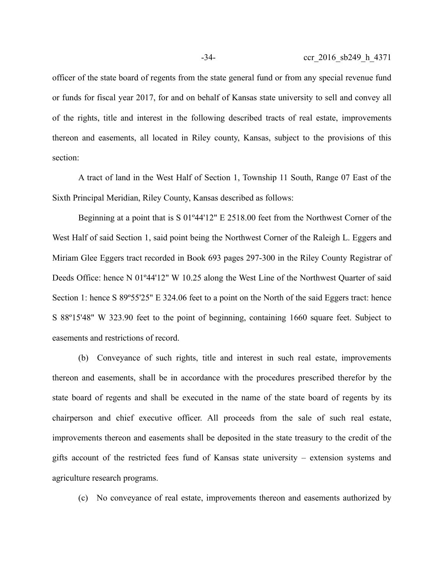officer of the state board of regents from the state general fund or from any special revenue fund or funds for fiscal year 2017, for and on behalf of Kansas state university to sell and convey all of the rights, title and interest in the following described tracts of real estate, improvements thereon and easements, all located in Riley county, Kansas, subject to the provisions of this section:

A tract of land in the West Half of Section 1, Township 11 South, Range 07 East of the Sixth Principal Meridian, Riley County, Kansas described as follows:

Beginning at a point that is S 01º44'12" E 2518.00 feet from the Northwest Corner of the West Half of said Section 1, said point being the Northwest Corner of the Raleigh L. Eggers and Miriam Glee Eggers tract recorded in Book 693 pages 297-300 in the Riley County Registrar of Deeds Office: hence N 01º44'12" W 10.25 along the West Line of the Northwest Quarter of said Section 1: hence S 89º55'25" E 324.06 feet to a point on the North of the said Eggers tract: hence S 88º15'48" W 323.90 feet to the point of beginning, containing 1660 square feet. Subject to easements and restrictions of record.

(b) Conveyance of such rights, title and interest in such real estate, improvements thereon and easements, shall be in accordance with the procedures prescribed therefor by the state board of regents and shall be executed in the name of the state board of regents by its chairperson and chief executive officer. All proceeds from the sale of such real estate, improvements thereon and easements shall be deposited in the state treasury to the credit of the gifts account of the restricted fees fund of Kansas state university – extension systems and agriculture research programs.

(c) No conveyance of real estate, improvements thereon and easements authorized by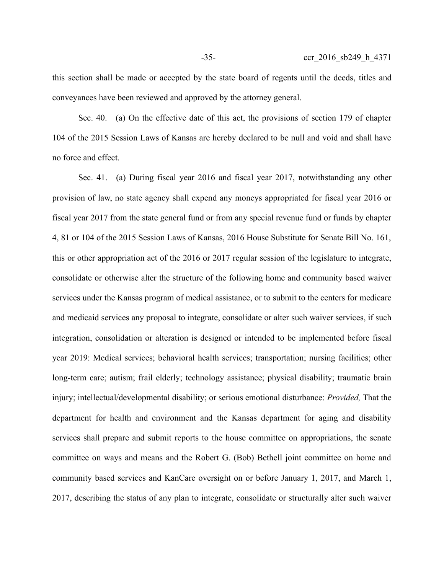this section shall be made or accepted by the state board of regents until the deeds, titles and conveyances have been reviewed and approved by the attorney general.

Sec. 40. (a) On the effective date of this act, the provisions of section 179 of chapter 104 of the 2015 Session Laws of Kansas are hereby declared to be null and void and shall have no force and effect.

Sec. 41. (a) During fiscal year 2016 and fiscal year 2017, notwithstanding any other provision of law, no state agency shall expend any moneys appropriated for fiscal year 2016 or fiscal year 2017 from the state general fund or from any special revenue fund or funds by chapter 4, 81 or 104 of the 2015 Session Laws of Kansas, 2016 House Substitute for Senate Bill No. 161, this or other appropriation act of the 2016 or 2017 regular session of the legislature to integrate, consolidate or otherwise alter the structure of the following home and community based waiver services under the Kansas program of medical assistance, or to submit to the centers for medicare and medicaid services any proposal to integrate, consolidate or alter such waiver services, if such integration, consolidation or alteration is designed or intended to be implemented before fiscal year 2019: Medical services; behavioral health services; transportation; nursing facilities; other long-term care; autism; frail elderly; technology assistance; physical disability; traumatic brain injury; intellectual/developmental disability; or serious emotional disturbance: *Provided,* That the department for health and environment and the Kansas department for aging and disability services shall prepare and submit reports to the house committee on appropriations, the senate committee on ways and means and the Robert G. (Bob) Bethell joint committee on home and community based services and KanCare oversight on or before January 1, 2017, and March 1, 2017, describing the status of any plan to integrate, consolidate or structurally alter such waiver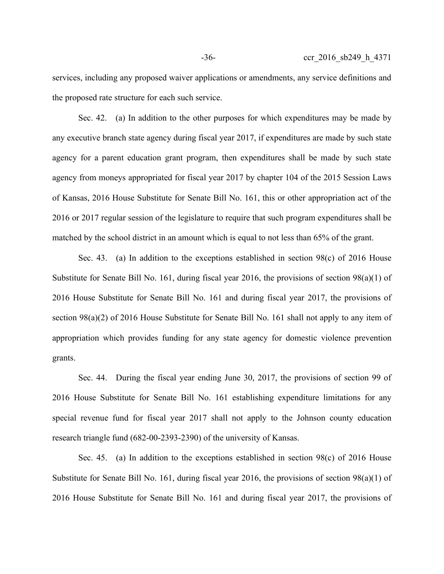services, including any proposed waiver applications or amendments, any service definitions and the proposed rate structure for each such service.

Sec. 42. (a) In addition to the other purposes for which expenditures may be made by any executive branch state agency during fiscal year 2017, if expenditures are made by such state agency for a parent education grant program, then expenditures shall be made by such state agency from moneys appropriated for fiscal year 2017 by chapter 104 of the 2015 Session Laws of Kansas, 2016 House Substitute for Senate Bill No. 161, this or other appropriation act of the 2016 or 2017 regular session of the legislature to require that such program expenditures shall be matched by the school district in an amount which is equal to not less than 65% of the grant.

Sec. 43. (a) In addition to the exceptions established in section 98(c) of 2016 House Substitute for Senate Bill No. 161, during fiscal year 2016, the provisions of section 98(a)(1) of 2016 House Substitute for Senate Bill No. 161 and during fiscal year 2017, the provisions of section 98(a)(2) of 2016 House Substitute for Senate Bill No. 161 shall not apply to any item of appropriation which provides funding for any state agency for domestic violence prevention grants.

Sec. 44. During the fiscal year ending June 30, 2017, the provisions of section 99 of 2016 House Substitute for Senate Bill No. 161 establishing expenditure limitations for any special revenue fund for fiscal year 2017 shall not apply to the Johnson county education research triangle fund (682-00-2393-2390) of the university of Kansas.

Sec. 45. (a) In addition to the exceptions established in section 98(c) of 2016 House Substitute for Senate Bill No. 161, during fiscal year 2016, the provisions of section 98(a)(1) of 2016 House Substitute for Senate Bill No. 161 and during fiscal year 2017, the provisions of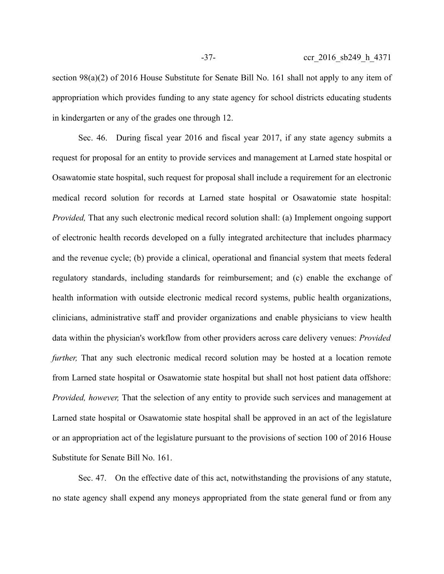section 98(a)(2) of 2016 House Substitute for Senate Bill No. 161 shall not apply to any item of appropriation which provides funding to any state agency for school districts educating students in kindergarten or any of the grades one through 12.

Sec. 46. During fiscal year 2016 and fiscal year 2017, if any state agency submits a request for proposal for an entity to provide services and management at Larned state hospital or Osawatomie state hospital, such request for proposal shall include a requirement for an electronic medical record solution for records at Larned state hospital or Osawatomie state hospital: *Provided,* That any such electronic medical record solution shall: (a) Implement ongoing support of electronic health records developed on a fully integrated architecture that includes pharmacy and the revenue cycle; (b) provide a clinical, operational and financial system that meets federal regulatory standards, including standards for reimbursement; and (c) enable the exchange of health information with outside electronic medical record systems, public health organizations, clinicians, administrative staff and provider organizations and enable physicians to view health data within the physician's workflow from other providers across care delivery venues: *Provided further*, That any such electronic medical record solution may be hosted at a location remote from Larned state hospital or Osawatomie state hospital but shall not host patient data offshore: *Provided, however,* That the selection of any entity to provide such services and management at Larned state hospital or Osawatomie state hospital shall be approved in an act of the legislature or an appropriation act of the legislature pursuant to the provisions of section 100 of 2016 House Substitute for Senate Bill No. 161.

Sec. 47. On the effective date of this act, notwithstanding the provisions of any statute, no state agency shall expend any moneys appropriated from the state general fund or from any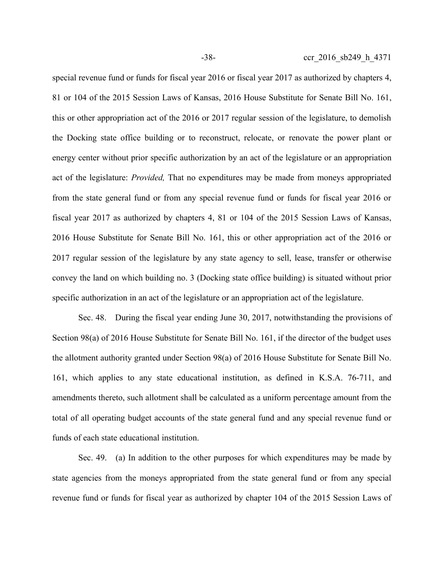special revenue fund or funds for fiscal year 2016 or fiscal year 2017 as authorized by chapters 4, 81 or 104 of the 2015 Session Laws of Kansas, 2016 House Substitute for Senate Bill No. 161, this or other appropriation act of the 2016 or 2017 regular session of the legislature, to demolish the Docking state office building or to reconstruct, relocate, or renovate the power plant or energy center without prior specific authorization by an act of the legislature or an appropriation act of the legislature: *Provided,* That no expenditures may be made from moneys appropriated from the state general fund or from any special revenue fund or funds for fiscal year 2016 or fiscal year 2017 as authorized by chapters 4, 81 or 104 of the 2015 Session Laws of Kansas, 2016 House Substitute for Senate Bill No. 161, this or other appropriation act of the 2016 or 2017 regular session of the legislature by any state agency to sell, lease, transfer or otherwise convey the land on which building no. 3 (Docking state office building) is situated without prior specific authorization in an act of the legislature or an appropriation act of the legislature.

Sec. 48. During the fiscal year ending June 30, 2017, notwithstanding the provisions of Section 98(a) of 2016 House Substitute for Senate Bill No. 161, if the director of the budget uses the allotment authority granted under Section 98(a) of 2016 House Substitute for Senate Bill No. 161, which applies to any state educational institution, as defined in K.S.A. 76-711, and amendments thereto, such allotment shall be calculated as a uniform percentage amount from the total of all operating budget accounts of the state general fund and any special revenue fund or funds of each state educational institution.

Sec. 49. (a) In addition to the other purposes for which expenditures may be made by state agencies from the moneys appropriated from the state general fund or from any special revenue fund or funds for fiscal year as authorized by chapter 104 of the 2015 Session Laws of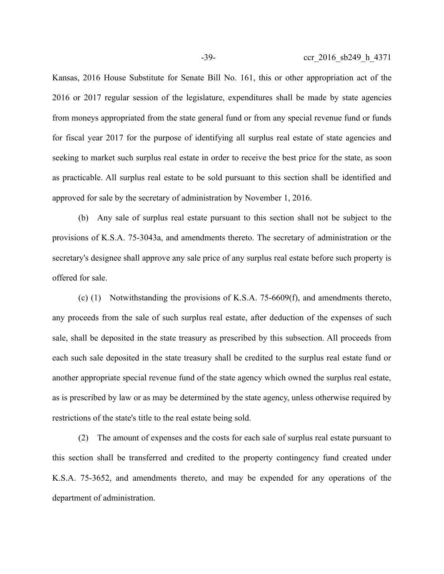Kansas, 2016 House Substitute for Senate Bill No. 161, this or other appropriation act of the 2016 or 2017 regular session of the legislature, expenditures shall be made by state agencies from moneys appropriated from the state general fund or from any special revenue fund or funds for fiscal year 2017 for the purpose of identifying all surplus real estate of state agencies and seeking to market such surplus real estate in order to receive the best price for the state, as soon as practicable. All surplus real estate to be sold pursuant to this section shall be identified and approved for sale by the secretary of administration by November 1, 2016.

(b) Any sale of surplus real estate pursuant to this section shall not be subject to the provisions of K.S.A. 75-3043a, and amendments thereto. The secretary of administration or the secretary's designee shall approve any sale price of any surplus real estate before such property is offered for sale.

(c) (1) Notwithstanding the provisions of K.S.A. 75-6609(f), and amendments thereto, any proceeds from the sale of such surplus real estate, after deduction of the expenses of such sale, shall be deposited in the state treasury as prescribed by this subsection. All proceeds from each such sale deposited in the state treasury shall be credited to the surplus real estate fund or another appropriate special revenue fund of the state agency which owned the surplus real estate, as is prescribed by law or as may be determined by the state agency, unless otherwise required by restrictions of the state's title to the real estate being sold.

(2) The amount of expenses and the costs for each sale of surplus real estate pursuant to this section shall be transferred and credited to the property contingency fund created under K.S.A. 75-3652, and amendments thereto, and may be expended for any operations of the department of administration.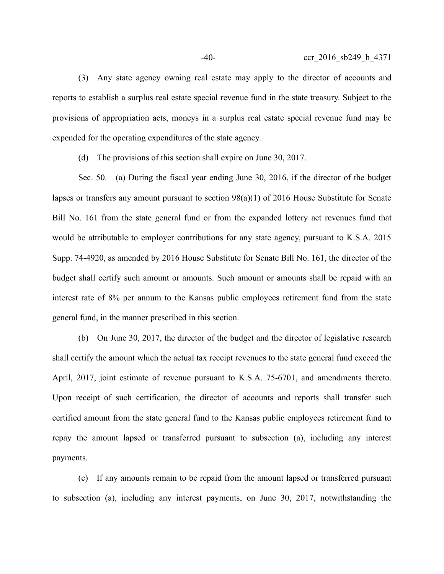(3) Any state agency owning real estate may apply to the director of accounts and reports to establish a surplus real estate special revenue fund in the state treasury. Subject to the provisions of appropriation acts, moneys in a surplus real estate special revenue fund may be expended for the operating expenditures of the state agency.

(d) The provisions of this section shall expire on June 30, 2017.

Sec. 50. (a) During the fiscal year ending June 30, 2016, if the director of the budget lapses or transfers any amount pursuant to section 98(a)(1) of 2016 House Substitute for Senate Bill No. 161 from the state general fund or from the expanded lottery act revenues fund that would be attributable to employer contributions for any state agency, pursuant to K.S.A. 2015 Supp. 74-4920, as amended by 2016 House Substitute for Senate Bill No. 161, the director of the budget shall certify such amount or amounts. Such amount or amounts shall be repaid with an interest rate of 8% per annum to the Kansas public employees retirement fund from the state general fund, in the manner prescribed in this section.

(b) On June 30, 2017, the director of the budget and the director of legislative research shall certify the amount which the actual tax receipt revenues to the state general fund exceed the April, 2017, joint estimate of revenue pursuant to K.S.A. 75-6701, and amendments thereto. Upon receipt of such certification, the director of accounts and reports shall transfer such certified amount from the state general fund to the Kansas public employees retirement fund to repay the amount lapsed or transferred pursuant to subsection (a), including any interest payments.

(c) If any amounts remain to be repaid from the amount lapsed or transferred pursuant to subsection (a), including any interest payments, on June 30, 2017, notwithstanding the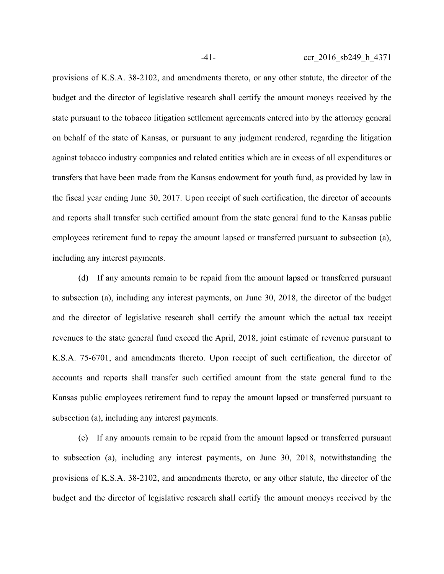provisions of K.S.A. 38-2102, and amendments thereto, or any other statute, the director of the budget and the director of legislative research shall certify the amount moneys received by the state pursuant to the tobacco litigation settlement agreements entered into by the attorney general on behalf of the state of Kansas, or pursuant to any judgment rendered, regarding the litigation against tobacco industry companies and related entities which are in excess of all expenditures or transfers that have been made from the Kansas endowment for youth fund, as provided by law in the fiscal year ending June 30, 2017. Upon receipt of such certification, the director of accounts and reports shall transfer such certified amount from the state general fund to the Kansas public employees retirement fund to repay the amount lapsed or transferred pursuant to subsection (a), including any interest payments.

(d) If any amounts remain to be repaid from the amount lapsed or transferred pursuant to subsection (a), including any interest payments, on June 30, 2018, the director of the budget and the director of legislative research shall certify the amount which the actual tax receipt revenues to the state general fund exceed the April, 2018, joint estimate of revenue pursuant to K.S.A. 75-6701, and amendments thereto. Upon receipt of such certification, the director of accounts and reports shall transfer such certified amount from the state general fund to the Kansas public employees retirement fund to repay the amount lapsed or transferred pursuant to subsection (a), including any interest payments.

(e) If any amounts remain to be repaid from the amount lapsed or transferred pursuant to subsection (a), including any interest payments, on June 30, 2018, notwithstanding the provisions of K.S.A. 38-2102, and amendments thereto, or any other statute, the director of the budget and the director of legislative research shall certify the amount moneys received by the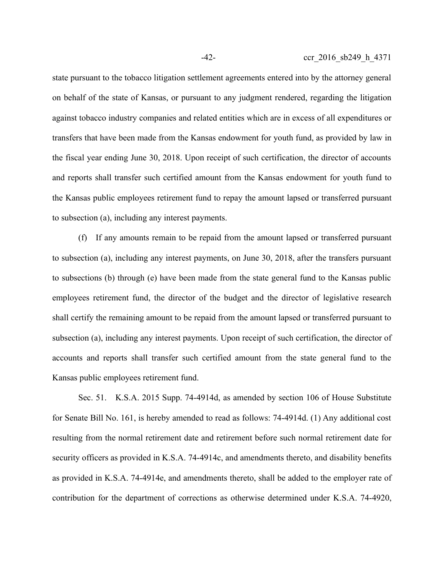state pursuant to the tobacco litigation settlement agreements entered into by the attorney general on behalf of the state of Kansas, or pursuant to any judgment rendered, regarding the litigation against tobacco industry companies and related entities which are in excess of all expenditures or transfers that have been made from the Kansas endowment for youth fund, as provided by law in the fiscal year ending June 30, 2018. Upon receipt of such certification, the director of accounts and reports shall transfer such certified amount from the Kansas endowment for youth fund to the Kansas public employees retirement fund to repay the amount lapsed or transferred pursuant to subsection (a), including any interest payments.

(f) If any amounts remain to be repaid from the amount lapsed or transferred pursuant to subsection (a), including any interest payments, on June 30, 2018, after the transfers pursuant to subsections (b) through (e) have been made from the state general fund to the Kansas public employees retirement fund, the director of the budget and the director of legislative research shall certify the remaining amount to be repaid from the amount lapsed or transferred pursuant to subsection (a), including any interest payments. Upon receipt of such certification, the director of accounts and reports shall transfer such certified amount from the state general fund to the Kansas public employees retirement fund.

Sec. 51. K.S.A. 2015 Supp. 74-4914d, as amended by section 106 of House Substitute for Senate Bill No. 161, is hereby amended to read as follows: 74-4914d. (1) Any additional cost resulting from the normal retirement date and retirement before such normal retirement date for security officers as provided in K.S.A. 74-4914c, and amendments thereto, and disability benefits as provided in K.S.A. 74-4914e, and amendments thereto, shall be added to the employer rate of contribution for the department of corrections as otherwise determined under K.S.A. 74-4920,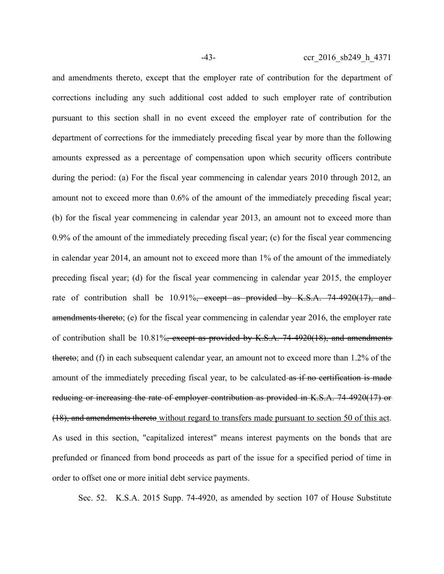and amendments thereto, except that the employer rate of contribution for the department of corrections including any such additional cost added to such employer rate of contribution pursuant to this section shall in no event exceed the employer rate of contribution for the department of corrections for the immediately preceding fiscal year by more than the following amounts expressed as a percentage of compensation upon which security officers contribute during the period: (a) For the fiscal year commencing in calendar years 2010 through 2012, an amount not to exceed more than 0.6% of the amount of the immediately preceding fiscal year; (b) for the fiscal year commencing in calendar year 2013, an amount not to exceed more than 0.9% of the amount of the immediately preceding fiscal year; (c) for the fiscal year commencing in calendar year 2014, an amount not to exceed more than 1% of the amount of the immediately preceding fiscal year; (d) for the fiscal year commencing in calendar year 2015, the employer rate of contribution shall be  $10.91\%$ , except as provided by K.S.A. 74-4920(17), and amendments thereto; (e) for the fiscal year commencing in calendar year 2016, the employer rate of contribution shall be 10.81%, except as provided by K.S.A. 74-4920(18), and amendments thereto; and (f) in each subsequent calendar year, an amount not to exceed more than 1.2% of the amount of the immediately preceding fiscal year, to be calculated as if no certification is made reducing or increasing the rate of employer contribution as provided in K.S.A. 74-4920(17) or (18), and amendments thereto without regard to transfers made pursuant to section 50 of this act. As used in this section, "capitalized interest" means interest payments on the bonds that are prefunded or financed from bond proceeds as part of the issue for a specified period of time in order to offset one or more initial debt service payments.

Sec. 52. K.S.A. 2015 Supp. 74-4920, as amended by section 107 of House Substitute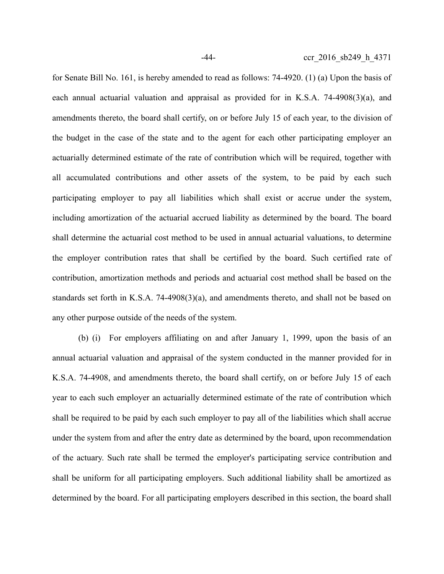for Senate Bill No. 161, is hereby amended to read as follows: 74-4920. (1) (a) Upon the basis of each annual actuarial valuation and appraisal as provided for in K.S.A. 74-4908(3)(a), and amendments thereto, the board shall certify, on or before July 15 of each year, to the division of the budget in the case of the state and to the agent for each other participating employer an actuarially determined estimate of the rate of contribution which will be required, together with all accumulated contributions and other assets of the system, to be paid by each such participating employer to pay all liabilities which shall exist or accrue under the system, including amortization of the actuarial accrued liability as determined by the board. The board shall determine the actuarial cost method to be used in annual actuarial valuations, to determine the employer contribution rates that shall be certified by the board. Such certified rate of contribution, amortization methods and periods and actuarial cost method shall be based on the standards set forth in K.S.A. 74-4908(3)(a), and amendments thereto, and shall not be based on any other purpose outside of the needs of the system.

(b) (i) For employers affiliating on and after January 1, 1999, upon the basis of an annual actuarial valuation and appraisal of the system conducted in the manner provided for in K.S.A. 74-4908, and amendments thereto, the board shall certify, on or before July 15 of each year to each such employer an actuarially determined estimate of the rate of contribution which shall be required to be paid by each such employer to pay all of the liabilities which shall accrue under the system from and after the entry date as determined by the board, upon recommendation of the actuary. Such rate shall be termed the employer's participating service contribution and shall be uniform for all participating employers. Such additional liability shall be amortized as determined by the board. For all participating employers described in this section, the board shall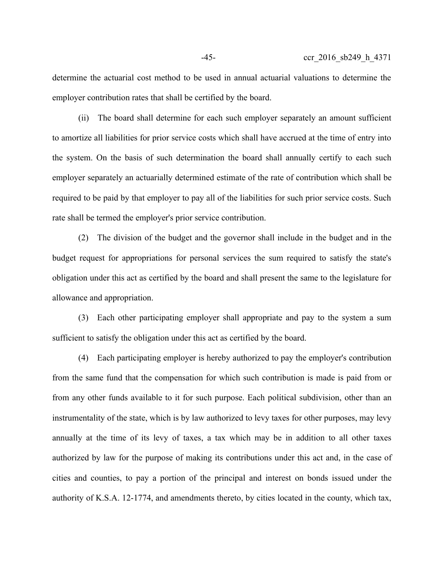determine the actuarial cost method to be used in annual actuarial valuations to determine the employer contribution rates that shall be certified by the board.

(ii) The board shall determine for each such employer separately an amount sufficient to amortize all liabilities for prior service costs which shall have accrued at the time of entry into the system. On the basis of such determination the board shall annually certify to each such employer separately an actuarially determined estimate of the rate of contribution which shall be required to be paid by that employer to pay all of the liabilities for such prior service costs. Such rate shall be termed the employer's prior service contribution.

(2) The division of the budget and the governor shall include in the budget and in the budget request for appropriations for personal services the sum required to satisfy the state's obligation under this act as certified by the board and shall present the same to the legislature for allowance and appropriation.

(3) Each other participating employer shall appropriate and pay to the system a sum sufficient to satisfy the obligation under this act as certified by the board.

(4) Each participating employer is hereby authorized to pay the employer's contribution from the same fund that the compensation for which such contribution is made is paid from or from any other funds available to it for such purpose. Each political subdivision, other than an instrumentality of the state, which is by law authorized to levy taxes for other purposes, may levy annually at the time of its levy of taxes, a tax which may be in addition to all other taxes authorized by law for the purpose of making its contributions under this act and, in the case of cities and counties, to pay a portion of the principal and interest on bonds issued under the authority of K.S.A. 12-1774, and amendments thereto, by cities located in the county, which tax,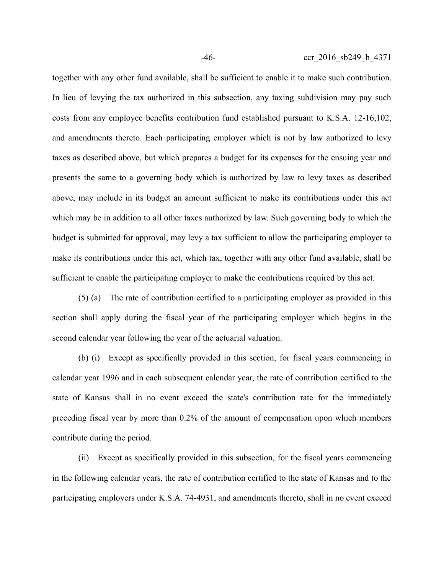together with any other fund available, shall be sufficient to enable it to make such contribution. In lieu of levying the tax authorized in this subsection, any taxing subdivision may pay such costs from any employee benefits contribution fund established pursuant to K.S.A. 12-16,102, and amendments thereto. Each participating employer which is not by law authorized to levy taxes as described above, but which prepares a budget for its expenses for the ensuing year and presents the same to a governing body which is authorized by law to levy taxes as described above, may include in its budget an amount sufficient to make its contributions under this act which may be in addition to all other taxes authorized by law. Such governing body to which the budget is submitted for approval, may levy a tax sufficient to allow the participating employer to make its contributions under this act, which tax, together with any other fund available, shall be sufficient to enable the participating employer to make the contributions required by this act.

(5) (a) The rate of contribution certified to a participating employer as provided in this section shall apply during the fiscal year of the participating employer which begins in the second calendar year following the year of the actuarial valuation.

(b) (i) Except as specifically provided in this section, for fiscal years commencing in calendar year 1996 and in each subsequent calendar year, the rate of contribution certified to the state of Kansas shall in no event exceed the state's contribution rate for the immediately preceding fiscal year by more than 0.2% of the amount of compensation upon which members contribute during the period.

(ii) Except as specifically provided in this subsection, for the fiscal years commencing in the following calendar years, the rate of contribution certified to the state of Kansas and to the participating employers under K.S.A. 74-4931, and amendments thereto, shall in no event exceed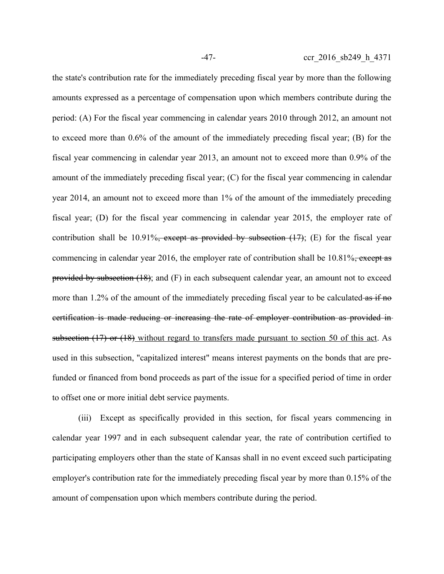the state's contribution rate for the immediately preceding fiscal year by more than the following amounts expressed as a percentage of compensation upon which members contribute during the period: (A) For the fiscal year commencing in calendar years 2010 through 2012, an amount not to exceed more than 0.6% of the amount of the immediately preceding fiscal year; (B) for the fiscal year commencing in calendar year 2013, an amount not to exceed more than 0.9% of the amount of the immediately preceding fiscal year; (C) for the fiscal year commencing in calendar year 2014, an amount not to exceed more than 1% of the amount of the immediately preceding fiscal year; (D) for the fiscal year commencing in calendar year 2015, the employer rate of contribution shall be 10.91%, except as provided by subsection  $(17)$ ; (E) for the fiscal year commencing in calendar year 2016, the employer rate of contribution shall be 10.81%, except as provided by subsection  $(18)$ ; and  $(F)$  in each subsequent calendar year, an amount not to exceed more than 1.2% of the amount of the immediately preceding fiscal year to be calculated as if no certification is made reducing or increasing the rate of employer contribution as provided in subsection (17) or (18) without regard to transfers made pursuant to section 50 of this act. As used in this subsection, "capitalized interest" means interest payments on the bonds that are prefunded or financed from bond proceeds as part of the issue for a specified period of time in order to offset one or more initial debt service payments.

(iii) Except as specifically provided in this section, for fiscal years commencing in calendar year 1997 and in each subsequent calendar year, the rate of contribution certified to participating employers other than the state of Kansas shall in no event exceed such participating employer's contribution rate for the immediately preceding fiscal year by more than 0.15% of the amount of compensation upon which members contribute during the period.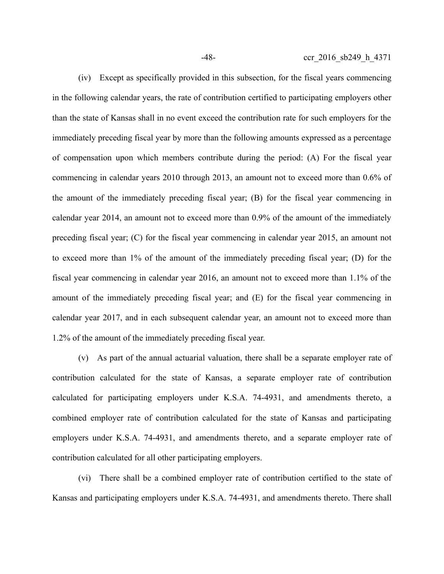(iv) Except as specifically provided in this subsection, for the fiscal years commencing in the following calendar years, the rate of contribution certified to participating employers other than the state of Kansas shall in no event exceed the contribution rate for such employers for the immediately preceding fiscal year by more than the following amounts expressed as a percentage of compensation upon which members contribute during the period: (A) For the fiscal year commencing in calendar years 2010 through 2013, an amount not to exceed more than 0.6% of the amount of the immediately preceding fiscal year; (B) for the fiscal year commencing in calendar year 2014, an amount not to exceed more than 0.9% of the amount of the immediately preceding fiscal year; (C) for the fiscal year commencing in calendar year 2015, an amount not to exceed more than 1% of the amount of the immediately preceding fiscal year; (D) for the fiscal year commencing in calendar year 2016, an amount not to exceed more than 1.1% of the amount of the immediately preceding fiscal year; and (E) for the fiscal year commencing in calendar year 2017, and in each subsequent calendar year, an amount not to exceed more than 1.2% of the amount of the immediately preceding fiscal year.

(v) As part of the annual actuarial valuation, there shall be a separate employer rate of contribution calculated for the state of Kansas, a separate employer rate of contribution calculated for participating employers under K.S.A. 74-4931, and amendments thereto, a combined employer rate of contribution calculated for the state of Kansas and participating employers under K.S.A. 74-4931, and amendments thereto, and a separate employer rate of contribution calculated for all other participating employers.

(vi) There shall be a combined employer rate of contribution certified to the state of Kansas and participating employers under K.S.A. 74-4931, and amendments thereto. There shall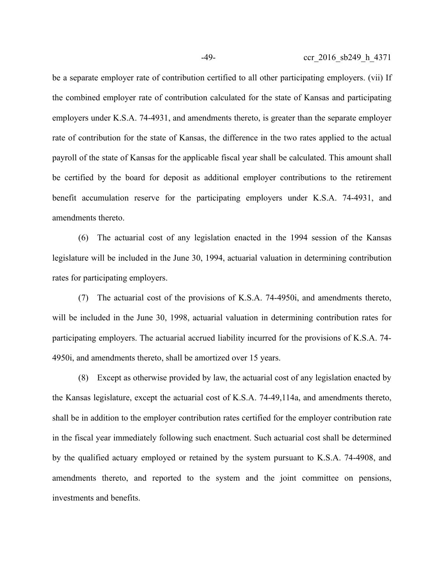be a separate employer rate of contribution certified to all other participating employers. (vii) If the combined employer rate of contribution calculated for the state of Kansas and participating employers under K.S.A. 74-4931, and amendments thereto, is greater than the separate employer rate of contribution for the state of Kansas, the difference in the two rates applied to the actual payroll of the state of Kansas for the applicable fiscal year shall be calculated. This amount shall be certified by the board for deposit as additional employer contributions to the retirement benefit accumulation reserve for the participating employers under K.S.A. 74-4931, and amendments thereto.

(6) The actuarial cost of any legislation enacted in the 1994 session of the Kansas legislature will be included in the June 30, 1994, actuarial valuation in determining contribution rates for participating employers.

(7) The actuarial cost of the provisions of K.S.A. 74-4950i, and amendments thereto, will be included in the June 30, 1998, actuarial valuation in determining contribution rates for participating employers. The actuarial accrued liability incurred for the provisions of K.S.A. 74- 4950i, and amendments thereto, shall be amortized over 15 years.

(8) Except as otherwise provided by law, the actuarial cost of any legislation enacted by the Kansas legislature, except the actuarial cost of K.S.A. 74-49,114a, and amendments thereto, shall be in addition to the employer contribution rates certified for the employer contribution rate in the fiscal year immediately following such enactment. Such actuarial cost shall be determined by the qualified actuary employed or retained by the system pursuant to K.S.A. 74-4908, and amendments thereto, and reported to the system and the joint committee on pensions, investments and benefits.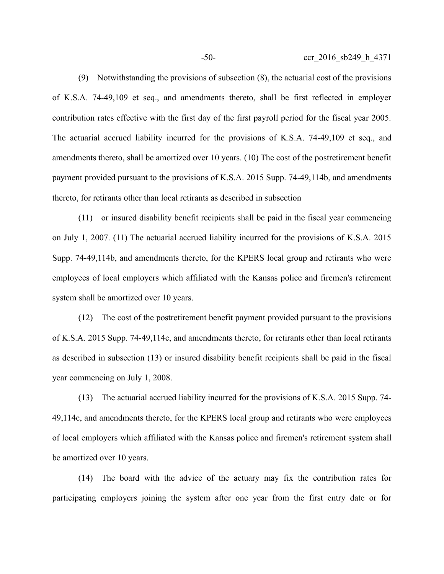(9) Notwithstanding the provisions of subsection (8), the actuarial cost of the provisions of K.S.A. 74-49,109 et seq., and amendments thereto, shall be first reflected in employer contribution rates effective with the first day of the first payroll period for the fiscal year 2005. The actuarial accrued liability incurred for the provisions of K.S.A. 74-49,109 et seq., and amendments thereto, shall be amortized over 10 years. (10) The cost of the postretirement benefit payment provided pursuant to the provisions of K.S.A. 2015 Supp. 74-49,114b, and amendments thereto, for retirants other than local retirants as described in subsection

(11) or insured disability benefit recipients shall be paid in the fiscal year commencing on July 1, 2007. (11) The actuarial accrued liability incurred for the provisions of K.S.A. 2015 Supp. 74-49,114b, and amendments thereto, for the KPERS local group and retirants who were employees of local employers which affiliated with the Kansas police and firemen's retirement system shall be amortized over 10 years.

(12) The cost of the postretirement benefit payment provided pursuant to the provisions of K.S.A. 2015 Supp. 74-49,114c, and amendments thereto, for retirants other than local retirants as described in subsection (13) or insured disability benefit recipients shall be paid in the fiscal year commencing on July 1, 2008.

(13) The actuarial accrued liability incurred for the provisions of K.S.A. 2015 Supp. 74- 49,114c, and amendments thereto, for the KPERS local group and retirants who were employees of local employers which affiliated with the Kansas police and firemen's retirement system shall be amortized over 10 years.

(14) The board with the advice of the actuary may fix the contribution rates for participating employers joining the system after one year from the first entry date or for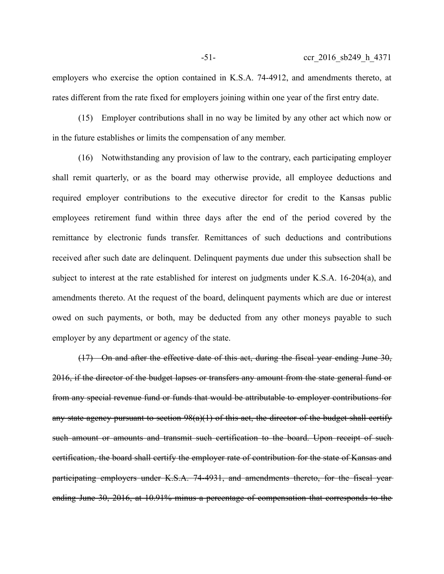employers who exercise the option contained in K.S.A. 74-4912, and amendments thereto, at rates different from the rate fixed for employers joining within one year of the first entry date.

(15) Employer contributions shall in no way be limited by any other act which now or in the future establishes or limits the compensation of any member.

(16) Notwithstanding any provision of law to the contrary, each participating employer shall remit quarterly, or as the board may otherwise provide, all employee deductions and required employer contributions to the executive director for credit to the Kansas public employees retirement fund within three days after the end of the period covered by the remittance by electronic funds transfer. Remittances of such deductions and contributions received after such date are delinquent. Delinquent payments due under this subsection shall be subject to interest at the rate established for interest on judgments under K.S.A. 16-204(a), and amendments thereto. At the request of the board, delinquent payments which are due or interest owed on such payments, or both, may be deducted from any other moneys payable to such employer by any department or agency of the state.

(17) On and after the effective date of this act, during the fiscal year ending June 30, 2016, if the director of the budget lapses or transfers any amount from the state general fund or from any special revenue fund or funds that would be attributable to employer contributions for any state agency pursuant to section  $98(a)(1)$  of this act, the director of the budget shall certify such amount or amounts and transmit such certification to the board. Upon receipt of such certification, the board shall certify the employer rate of contribution for the state of Kansas and participating employers under K.S.A. 74-4931, and amendments thereto, for the fiscal year ending June 30, 2016, at 10.91% minus a percentage of compensation that corresponds to the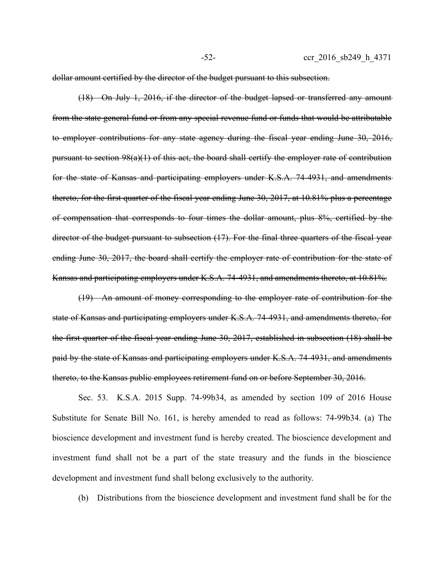dollar amount certified by the director of the budget pursuant to this subsection.

(18) On July 1, 2016, if the director of the budget lapsed or transferred any amount from the state general fund or from any special revenue fund or funds that would be attributable to employer contributions for any state agency during the fiscal year ending June 30, 2016, pursuant to section 98(a)(1) of this act, the board shall certify the employer rate of contribution for the state of Kansas and participating employers under K.S.A. 74-4931, and amendments thereto, for the first quarter of the fiscal year ending June 30, 2017, at 10.81% plus a percentage of compensation that corresponds to four times the dollar amount, plus 8%, certified by the director of the budget pursuant to subsection (17). For the final three quarters of the fiscal year ending June 30, 2017, the board shall certify the employer rate of contribution for the state of Kansas and participating employers under K.S.A. 74-4931, and amendments thereto, at 10.81%.

(19) An amount of money corresponding to the employer rate of contribution for the state of Kansas and participating employers under K.S.A. 74-4931, and amendments thereto, for the first quarter of the fiscal year ending June 30, 2017, established in subsection (18) shall be paid by the state of Kansas and participating employers under K.S.A. 74-4931, and amendments thereto, to the Kansas public employees retirement fund on or before September 30, 2016.

Sec. 53. K.S.A. 2015 Supp. 74-99b34, as amended by section 109 of 2016 House Substitute for Senate Bill No. 161, is hereby amended to read as follows: 74-99b34. (a) The bioscience development and investment fund is hereby created. The bioscience development and investment fund shall not be a part of the state treasury and the funds in the bioscience development and investment fund shall belong exclusively to the authority.

(b) Distributions from the bioscience development and investment fund shall be for the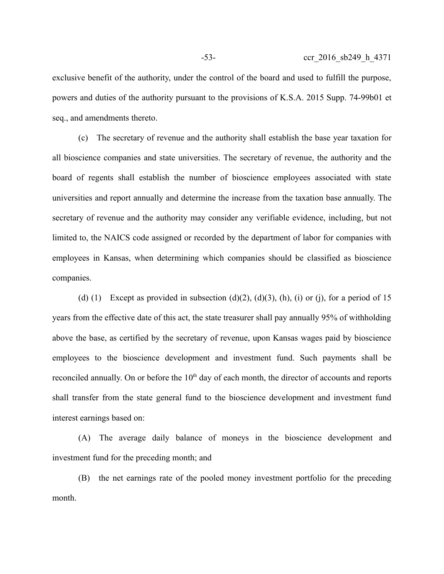exclusive benefit of the authority, under the control of the board and used to fulfill the purpose, powers and duties of the authority pursuant to the provisions of K.S.A. 2015 Supp. 74-99b01 et seq., and amendments thereto.

(c) The secretary of revenue and the authority shall establish the base year taxation for all bioscience companies and state universities. The secretary of revenue, the authority and the board of regents shall establish the number of bioscience employees associated with state universities and report annually and determine the increase from the taxation base annually. The secretary of revenue and the authority may consider any verifiable evidence, including, but not limited to, the NAICS code assigned or recorded by the department of labor for companies with employees in Kansas, when determining which companies should be classified as bioscience companies.

(d) (1) Except as provided in subsection (d)(2), (d)(3), (h), (i) or (j), for a period of 15 years from the effective date of this act, the state treasurer shall pay annually 95% of withholding above the base, as certified by the secretary of revenue, upon Kansas wages paid by bioscience employees to the bioscience development and investment fund. Such payments shall be reconciled annually. On or before the  $10<sup>th</sup>$  day of each month, the director of accounts and reports shall transfer from the state general fund to the bioscience development and investment fund interest earnings based on:

(A) The average daily balance of moneys in the bioscience development and investment fund for the preceding month; and

(B) the net earnings rate of the pooled money investment portfolio for the preceding month.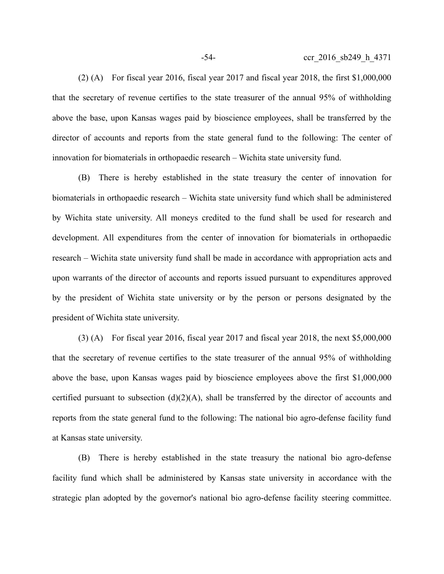(2) (A) For fiscal year 2016, fiscal year 2017 and fiscal year 2018, the first \$1,000,000 that the secretary of revenue certifies to the state treasurer of the annual 95% of withholding above the base, upon Kansas wages paid by bioscience employees, shall be transferred by the director of accounts and reports from the state general fund to the following: The center of innovation for biomaterials in orthopaedic research – Wichita state university fund.

(B) There is hereby established in the state treasury the center of innovation for biomaterials in orthopaedic research – Wichita state university fund which shall be administered by Wichita state university. All moneys credited to the fund shall be used for research and development. All expenditures from the center of innovation for biomaterials in orthopaedic research – Wichita state university fund shall be made in accordance with appropriation acts and upon warrants of the director of accounts and reports issued pursuant to expenditures approved by the president of Wichita state university or by the person or persons designated by the president of Wichita state university.

(3) (A) For fiscal year 2016, fiscal year 2017 and fiscal year 2018, the next \$5,000,000 that the secretary of revenue certifies to the state treasurer of the annual 95% of withholding above the base, upon Kansas wages paid by bioscience employees above the first \$1,000,000 certified pursuant to subsection  $(d)(2)(A)$ , shall be transferred by the director of accounts and reports from the state general fund to the following: The national bio agro-defense facility fund at Kansas state university.

(B) There is hereby established in the state treasury the national bio agro-defense facility fund which shall be administered by Kansas state university in accordance with the strategic plan adopted by the governor's national bio agro-defense facility steering committee.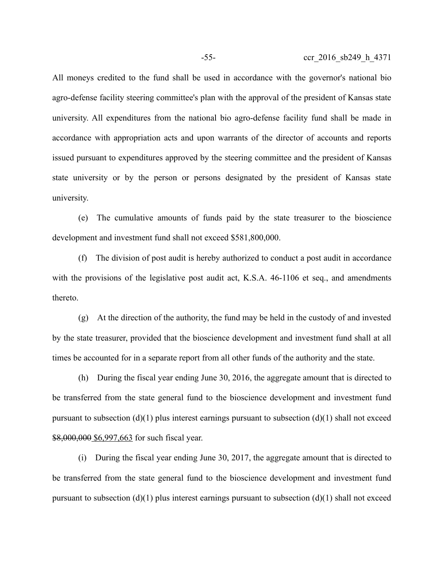All moneys credited to the fund shall be used in accordance with the governor's national bio agro-defense facility steering committee's plan with the approval of the president of Kansas state university. All expenditures from the national bio agro-defense facility fund shall be made in accordance with appropriation acts and upon warrants of the director of accounts and reports issued pursuant to expenditures approved by the steering committee and the president of Kansas state university or by the person or persons designated by the president of Kansas state university.

(e) The cumulative amounts of funds paid by the state treasurer to the bioscience development and investment fund shall not exceed \$581,800,000.

(f) The division of post audit is hereby authorized to conduct a post audit in accordance with the provisions of the legislative post audit act, K.S.A. 46-1106 et seq., and amendments thereto.

(g) At the direction of the authority, the fund may be held in the custody of and invested by the state treasurer, provided that the bioscience development and investment fund shall at all times be accounted for in a separate report from all other funds of the authority and the state.

(h) During the fiscal year ending June 30, 2016, the aggregate amount that is directed to be transferred from the state general fund to the bioscience development and investment fund pursuant to subsection  $(d)(1)$  plus interest earnings pursuant to subsection  $(d)(1)$  shall not exceed \$8,000,000 \$6,997,663 for such fiscal year.

(i) During the fiscal year ending June 30, 2017, the aggregate amount that is directed to be transferred from the state general fund to the bioscience development and investment fund pursuant to subsection  $(d)(1)$  plus interest earnings pursuant to subsection  $(d)(1)$  shall not exceed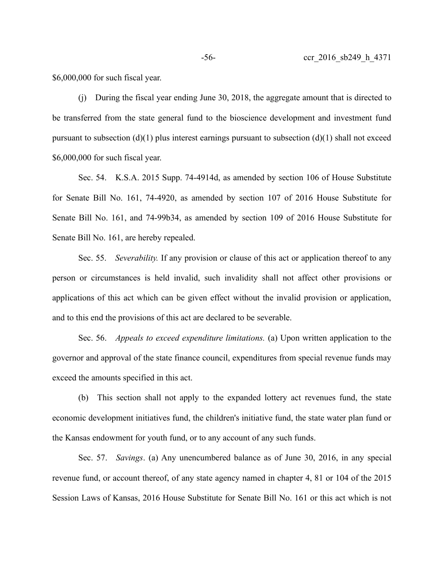\$6,000,000 for such fiscal year.

(j) During the fiscal year ending June 30, 2018, the aggregate amount that is directed to be transferred from the state general fund to the bioscience development and investment fund pursuant to subsection (d)(1) plus interest earnings pursuant to subsection (d)(1) shall not exceed \$6,000,000 for such fiscal year.

Sec. 54. K.S.A. 2015 Supp. 74-4914d, as amended by section 106 of House Substitute for Senate Bill No. 161, 74-4920, as amended by section 107 of 2016 House Substitute for Senate Bill No. 161, and 74-99b34, as amended by section 109 of 2016 House Substitute for Senate Bill No. 161, are hereby repealed.

Sec. 55. *Severability.* If any provision or clause of this act or application thereof to any person or circumstances is held invalid, such invalidity shall not affect other provisions or applications of this act which can be given effect without the invalid provision or application, and to this end the provisions of this act are declared to be severable.

Sec. 56. *Appeals to exceed expenditure limitations.* (a) Upon written application to the governor and approval of the state finance council, expenditures from special revenue funds may exceed the amounts specified in this act.

(b) This section shall not apply to the expanded lottery act revenues fund, the state economic development initiatives fund, the children's initiative fund, the state water plan fund or the Kansas endowment for youth fund, or to any account of any such funds.

Sec. 57. *Savings*. (a) Any unencumbered balance as of June 30, 2016, in any special revenue fund, or account thereof, of any state agency named in chapter 4, 81 or 104 of the 2015 Session Laws of Kansas, 2016 House Substitute for Senate Bill No. 161 or this act which is not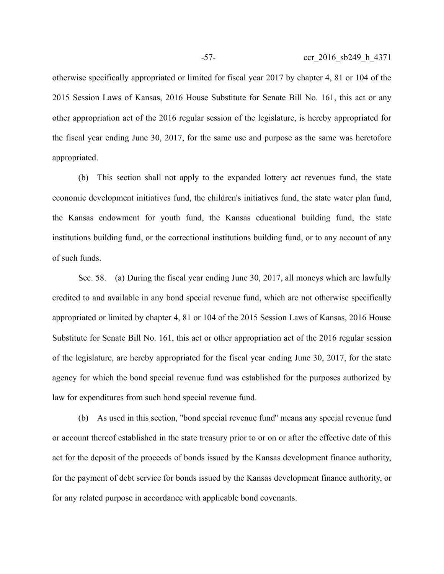otherwise specifically appropriated or limited for fiscal year 2017 by chapter 4, 81 or 104 of the 2015 Session Laws of Kansas, 2016 House Substitute for Senate Bill No. 161, this act or any other appropriation act of the 2016 regular session of the legislature, is hereby appropriated for the fiscal year ending June 30, 2017, for the same use and purpose as the same was heretofore appropriated.

(b) This section shall not apply to the expanded lottery act revenues fund, the state economic development initiatives fund, the children's initiatives fund, the state water plan fund, the Kansas endowment for youth fund, the Kansas educational building fund, the state institutions building fund, or the correctional institutions building fund, or to any account of any of such funds.

Sec. 58. (a) During the fiscal year ending June 30, 2017, all moneys which are lawfully credited to and available in any bond special revenue fund, which are not otherwise specifically appropriated or limited by chapter 4, 81 or 104 of the 2015 Session Laws of Kansas, 2016 House Substitute for Senate Bill No. 161, this act or other appropriation act of the 2016 regular session of the legislature, are hereby appropriated for the fiscal year ending June 30, 2017, for the state agency for which the bond special revenue fund was established for the purposes authorized by law for expenditures from such bond special revenue fund.

(b) As used in this section, "bond special revenue fund'' means any special revenue fund or account thereof established in the state treasury prior to or on or after the effective date of this act for the deposit of the proceeds of bonds issued by the Kansas development finance authority, for the payment of debt service for bonds issued by the Kansas development finance authority, or for any related purpose in accordance with applicable bond covenants.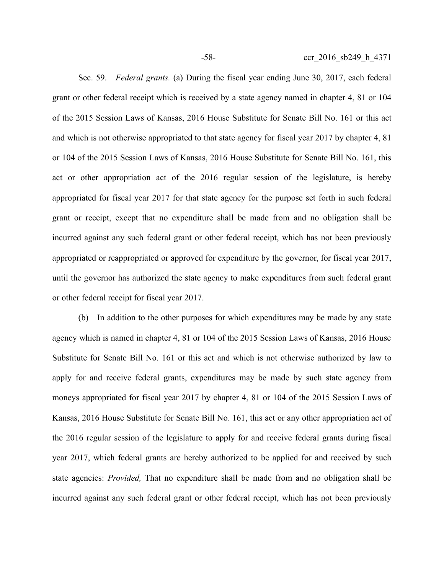Sec. 59. *Federal grants.* (a) During the fiscal year ending June 30, 2017, each federal grant or other federal receipt which is received by a state agency named in chapter 4, 81 or 104 of the 2015 Session Laws of Kansas, 2016 House Substitute for Senate Bill No. 161 or this act and which is not otherwise appropriated to that state agency for fiscal year 2017 by chapter 4, 81 or 104 of the 2015 Session Laws of Kansas, 2016 House Substitute for Senate Bill No. 161, this act or other appropriation act of the 2016 regular session of the legislature, is hereby appropriated for fiscal year 2017 for that state agency for the purpose set forth in such federal grant or receipt, except that no expenditure shall be made from and no obligation shall be incurred against any such federal grant or other federal receipt, which has not been previously appropriated or reappropriated or approved for expenditure by the governor, for fiscal year 2017, until the governor has authorized the state agency to make expenditures from such federal grant or other federal receipt for fiscal year 2017.

(b) In addition to the other purposes for which expenditures may be made by any state agency which is named in chapter 4, 81 or 104 of the 2015 Session Laws of Kansas, 2016 House Substitute for Senate Bill No. 161 or this act and which is not otherwise authorized by law to apply for and receive federal grants, expenditures may be made by such state agency from moneys appropriated for fiscal year 2017 by chapter 4, 81 or 104 of the 2015 Session Laws of Kansas, 2016 House Substitute for Senate Bill No. 161, this act or any other appropriation act of the 2016 regular session of the legislature to apply for and receive federal grants during fiscal year 2017, which federal grants are hereby authorized to be applied for and received by such state agencies: *Provided,* That no expenditure shall be made from and no obligation shall be incurred against any such federal grant or other federal receipt, which has not been previously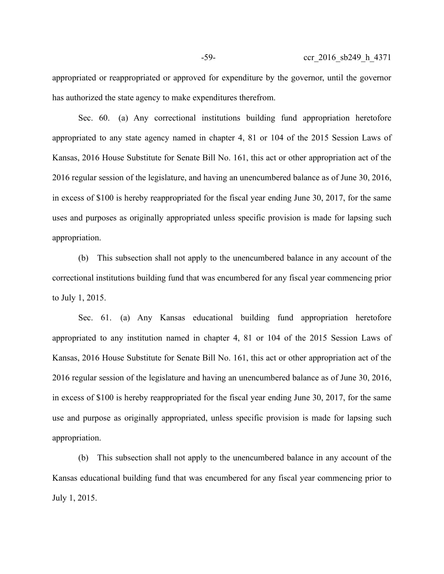appropriated or reappropriated or approved for expenditure by the governor, until the governor has authorized the state agency to make expenditures therefrom.

Sec. 60. (a) Any correctional institutions building fund appropriation heretofore appropriated to any state agency named in chapter 4, 81 or 104 of the 2015 Session Laws of Kansas, 2016 House Substitute for Senate Bill No. 161, this act or other appropriation act of the 2016 regular session of the legislature, and having an unencumbered balance as of June 30, 2016, in excess of \$100 is hereby reappropriated for the fiscal year ending June 30, 2017, for the same uses and purposes as originally appropriated unless specific provision is made for lapsing such appropriation.

(b) This subsection shall not apply to the unencumbered balance in any account of the correctional institutions building fund that was encumbered for any fiscal year commencing prior to July 1, 2015.

Sec. 61. (a) Any Kansas educational building fund appropriation heretofore appropriated to any institution named in chapter 4, 81 or 104 of the 2015 Session Laws of Kansas, 2016 House Substitute for Senate Bill No. 161, this act or other appropriation act of the 2016 regular session of the legislature and having an unencumbered balance as of June 30, 2016, in excess of \$100 is hereby reappropriated for the fiscal year ending June 30, 2017, for the same use and purpose as originally appropriated, unless specific provision is made for lapsing such appropriation.

(b) This subsection shall not apply to the unencumbered balance in any account of the Kansas educational building fund that was encumbered for any fiscal year commencing prior to July 1, 2015.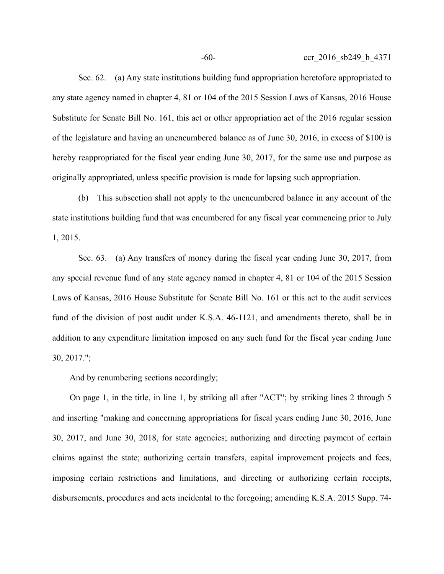Sec. 62. (a) Any state institutions building fund appropriation heretofore appropriated to any state agency named in chapter 4, 81 or 104 of the 2015 Session Laws of Kansas, 2016 House Substitute for Senate Bill No. 161, this act or other appropriation act of the 2016 regular session of the legislature and having an unencumbered balance as of June 30, 2016, in excess of \$100 is hereby reappropriated for the fiscal year ending June 30, 2017, for the same use and purpose as originally appropriated, unless specific provision is made for lapsing such appropriation.

(b) This subsection shall not apply to the unencumbered balance in any account of the state institutions building fund that was encumbered for any fiscal year commencing prior to July 1, 2015.

Sec. 63. (a) Any transfers of money during the fiscal year ending June 30, 2017, from any special revenue fund of any state agency named in chapter 4, 81 or 104 of the 2015 Session Laws of Kansas, 2016 House Substitute for Senate Bill No. 161 or this act to the audit services fund of the division of post audit under K.S.A. 46-1121, and amendments thereto, shall be in addition to any expenditure limitation imposed on any such fund for the fiscal year ending June 30, 2017.";

And by renumbering sections accordingly;

On page 1, in the title, in line 1, by striking all after "ACT"; by striking lines 2 through 5 and inserting "making and concerning appropriations for fiscal years ending June 30, 2016, June 30, 2017, and June 30, 2018, for state agencies; authorizing and directing payment of certain claims against the state; authorizing certain transfers, capital improvement projects and fees, imposing certain restrictions and limitations, and directing or authorizing certain receipts, disbursements, procedures and acts incidental to the foregoing; amending K.S.A. 2015 Supp. 74-